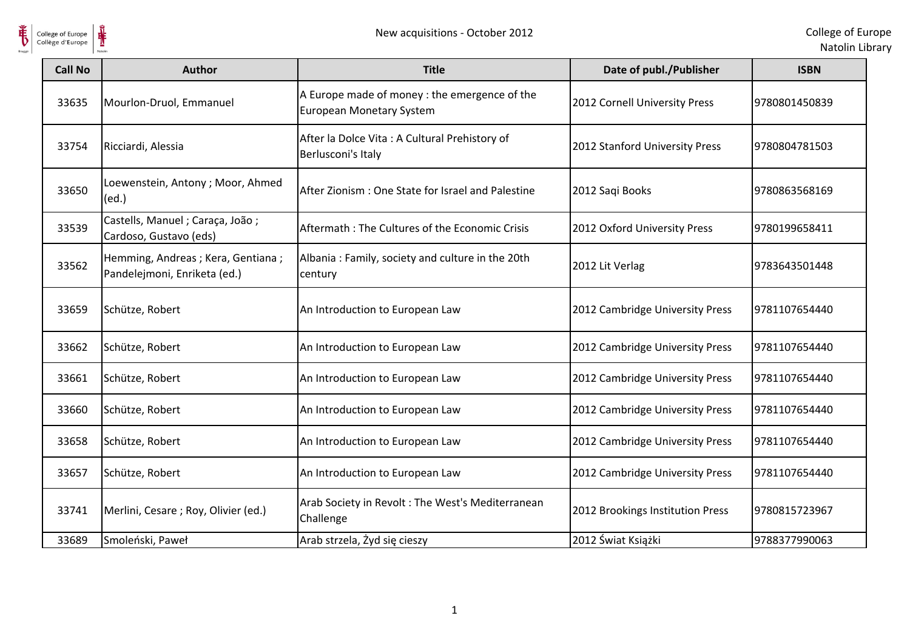

| <b>Call No</b> | <b>Author</b>                                                       | <b>Title</b>                                                                     | Date of publ./Publisher          | <b>ISBN</b>   |
|----------------|---------------------------------------------------------------------|----------------------------------------------------------------------------------|----------------------------------|---------------|
| 33635          | Mourlon-Druol, Emmanuel                                             | A Europe made of money : the emergence of the<br><b>European Monetary System</b> | 2012 Cornell University Press    | 9780801450839 |
| 33754          | Ricciardi, Alessia                                                  | After la Dolce Vita : A Cultural Prehistory of<br>Berlusconi's Italy             | 2012 Stanford University Press   | 9780804781503 |
| 33650          | Loewenstein, Antony; Moor, Ahmed<br>(ed.)                           | After Zionism: One State for Israel and Palestine                                | 2012 Saqi Books                  | 9780863568169 |
| 33539          | Castells, Manuel ; Caraça, João ;<br>Cardoso, Gustavo (eds)         | Aftermath: The Cultures of the Economic Crisis                                   | 2012 Oxford University Press     | 9780199658411 |
| 33562          | Hemming, Andreas ; Kera, Gentiana ;<br>Pandelejmoni, Enriketa (ed.) | Albania: Family, society and culture in the 20th<br>century                      | 2012 Lit Verlag                  | 9783643501448 |
| 33659          | Schütze, Robert                                                     | An Introduction to European Law                                                  | 2012 Cambridge University Press  | 9781107654440 |
| 33662          | Schütze, Robert                                                     | An Introduction to European Law                                                  | 2012 Cambridge University Press  | 9781107654440 |
| 33661          | Schütze, Robert                                                     | An Introduction to European Law                                                  | 2012 Cambridge University Press  | 9781107654440 |
| 33660          | Schütze, Robert                                                     | An Introduction to European Law                                                  | 2012 Cambridge University Press  | 9781107654440 |
| 33658          | Schütze, Robert                                                     | An Introduction to European Law                                                  | 2012 Cambridge University Press  | 9781107654440 |
| 33657          | Schütze, Robert                                                     | An Introduction to European Law                                                  | 2012 Cambridge University Press  | 9781107654440 |
| 33741          | Merlini, Cesare; Roy, Olivier (ed.)                                 | Arab Society in Revolt: The West's Mediterranean<br>Challenge                    | 2012 Brookings Institution Press | 9780815723967 |
| 33689          | Smoleński, Paweł                                                    | Arab strzela, Żyd się cieszy                                                     | 2012 Świat Książki               | 9788377990063 |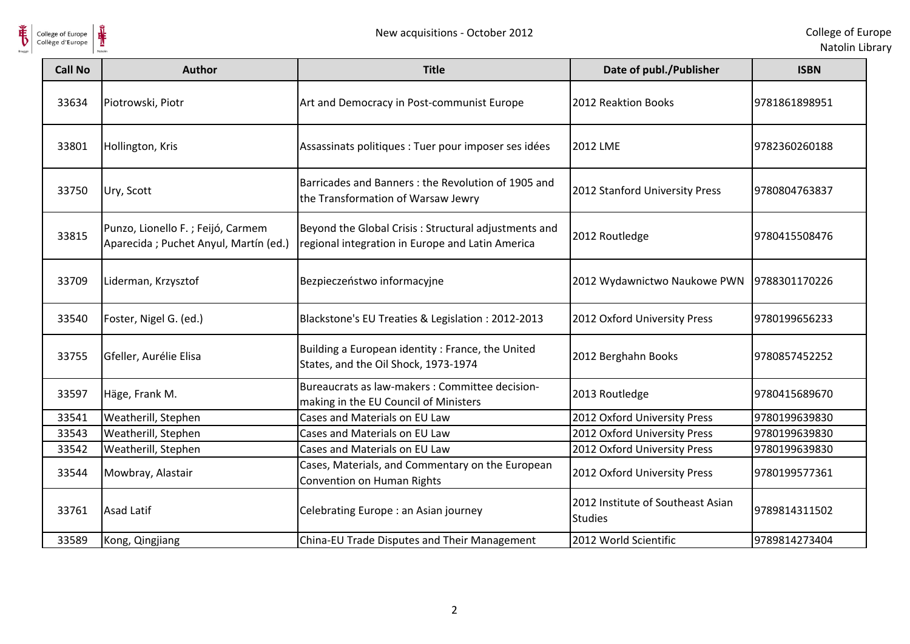



| <b>Call No</b> | <b>Author</b>                                                               | <b>Title</b>                                                                                             | Date of publ./Publisher                             | <b>ISBN</b>   |
|----------------|-----------------------------------------------------------------------------|----------------------------------------------------------------------------------------------------------|-----------------------------------------------------|---------------|
| 33634          | Piotrowski, Piotr                                                           | Art and Democracy in Post-communist Europe                                                               | 2012 Reaktion Books                                 | 9781861898951 |
| 33801          | Hollington, Kris                                                            | Assassinats politiques : Tuer pour imposer ses idées                                                     | 2012 LME                                            | 9782360260188 |
| 33750          | Ury, Scott                                                                  | Barricades and Banners: the Revolution of 1905 and<br>the Transformation of Warsaw Jewry                 | 2012 Stanford University Press                      | 9780804763837 |
| 33815          | Punzo, Lionello F.; Feijó, Carmem<br>Aparecida ; Puchet Anyul, Martín (ed.) | Beyond the Global Crisis: Structural adjustments and<br>regional integration in Europe and Latin America | 2012 Routledge                                      | 9780415508476 |
| 33709          | Liderman, Krzysztof                                                         | Bezpieczeństwo informacyjne                                                                              | 2012 Wydawnictwo Naukowe PWN                        | 9788301170226 |
| 33540          | Foster, Nigel G. (ed.)                                                      | Blackstone's EU Treaties & Legislation : 2012-2013                                                       | 2012 Oxford University Press                        | 9780199656233 |
| 33755          | Gfeller, Aurélie Elisa                                                      | Building a European identity: France, the United<br>States, and the Oil Shock, 1973-1974                 | 2012 Berghahn Books                                 | 9780857452252 |
| 33597          | Häge, Frank M.                                                              | Bureaucrats as law-makers : Committee decision-<br>making in the EU Council of Ministers                 | 2013 Routledge                                      | 9780415689670 |
| 33541          | Weatherill, Stephen                                                         | Cases and Materials on EU Law                                                                            | 2012 Oxford University Press                        | 9780199639830 |
| 33543          | Weatherill, Stephen                                                         | Cases and Materials on EU Law                                                                            | 2012 Oxford University Press                        | 9780199639830 |
| 33542          | Weatherill, Stephen                                                         | Cases and Materials on EU Law                                                                            | 2012 Oxford University Press                        | 9780199639830 |
| 33544          | Mowbray, Alastair                                                           | Cases, Materials, and Commentary on the European<br>Convention on Human Rights                           | 2012 Oxford University Press                        | 9780199577361 |
| 33761          | <b>Asad Latif</b>                                                           | Celebrating Europe : an Asian journey                                                                    | 2012 Institute of Southeast Asian<br><b>Studies</b> | 9789814311502 |
| 33589          | Kong, Qingjiang                                                             | China-EU Trade Disputes and Their Management                                                             | 2012 World Scientific                               | 9789814273404 |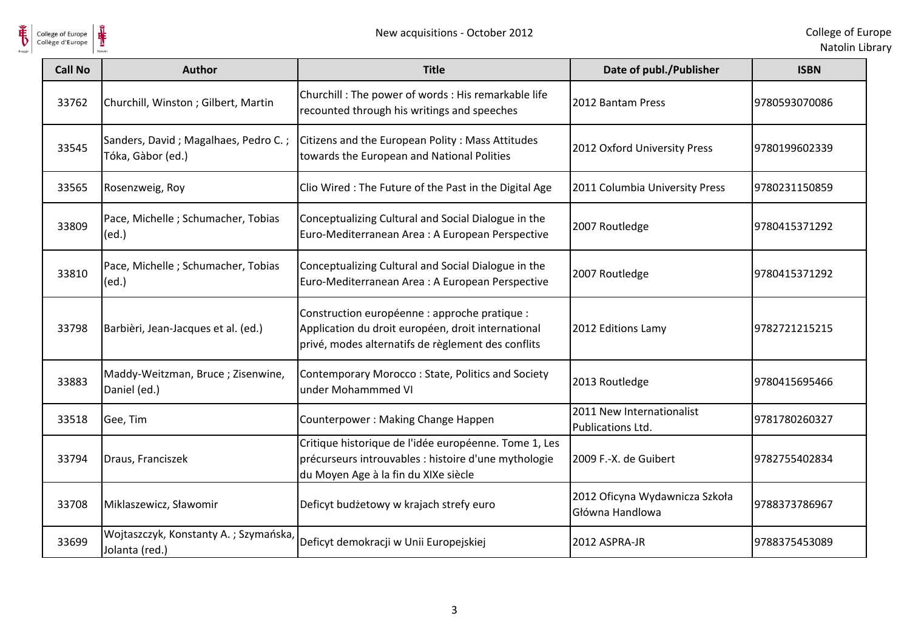

| <b>Call No</b> | Author                                                    | <b>Title</b>                                                                                                                                              | Date of publ./Publisher                           | <b>ISBN</b>   |
|----------------|-----------------------------------------------------------|-----------------------------------------------------------------------------------------------------------------------------------------------------------|---------------------------------------------------|---------------|
| 33762          | Churchill, Winston; Gilbert, Martin                       | Churchill : The power of words : His remarkable life<br>recounted through his writings and speeches                                                       | 2012 Bantam Press                                 | 9780593070086 |
| 33545          | Sanders, David; Magalhaes, Pedro C.;<br>Tóka, Gàbor (ed.) | Citizens and the European Polity: Mass Attitudes<br>towards the European and National Polities                                                            | 2012 Oxford University Press                      | 9780199602339 |
| 33565          | Rosenzweig, Roy                                           | Clio Wired: The Future of the Past in the Digital Age                                                                                                     | 2011 Columbia University Press                    | 9780231150859 |
| 33809          | Pace, Michelle; Schumacher, Tobias<br>(ed.)               | Conceptualizing Cultural and Social Dialogue in the<br>Euro-Mediterranean Area : A European Perspective                                                   | 2007 Routledge                                    | 9780415371292 |
| 33810          | Pace, Michelle; Schumacher, Tobias<br>(ed.)               | Conceptualizing Cultural and Social Dialogue in the<br>Euro-Mediterranean Area : A European Perspective                                                   | 2007 Routledge                                    | 9780415371292 |
| 33798          | Barbièri, Jean-Jacques et al. (ed.)                       | Construction européenne : approche pratique :<br>Application du droit européen, droit international<br>privé, modes alternatifs de règlement des conflits | 2012 Editions Lamy                                | 9782721215215 |
| 33883          | Maddy-Weitzman, Bruce; Zisenwine,<br>Daniel (ed.)         | Contemporary Morocco: State, Politics and Society<br>under Mohammmed VI                                                                                   | 2013 Routledge                                    | 9780415695466 |
| 33518          | Gee, Tim                                                  | Counterpower: Making Change Happen                                                                                                                        | 2011 New Internationalist<br>Publications Ltd.    | 9781780260327 |
| 33794          | Draus, Franciszek                                         | Critique historique de l'idée européenne. Tome 1, Les<br>précurseurs introuvables : histoire d'une mythologie<br>du Moyen Age à la fin du XIXe siècle     | 2009 F.-X. de Guibert                             | 9782755402834 |
| 33708          | Miklaszewicz, Sławomir                                    | Deficyt budżetowy w krajach strefy euro                                                                                                                   | 2012 Oficyna Wydawnicza Szkoła<br>Główna Handlowa | 9788373786967 |
| 33699          | Wojtaszczyk, Konstanty A.; Szymańska,<br>Jolanta (red.)   | Deficyt demokracji w Unii Europejskiej                                                                                                                    | 2012 ASPRA-JR                                     | 9788375453089 |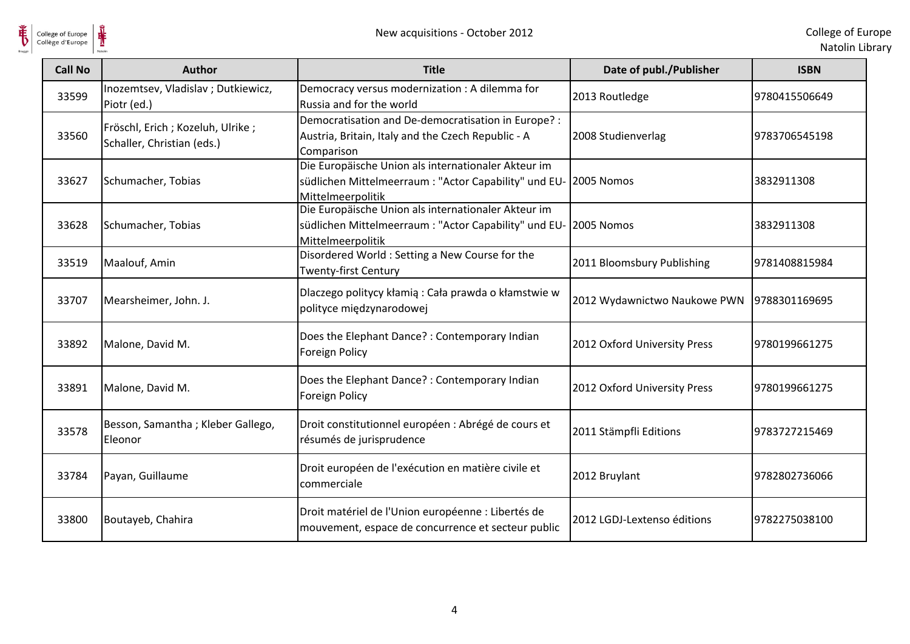

| <b>Call No</b> | <b>Author</b>                                                    | <b>Title</b>                                                                                                                      | Date of publ./Publisher      | <b>ISBN</b>   |
|----------------|------------------------------------------------------------------|-----------------------------------------------------------------------------------------------------------------------------------|------------------------------|---------------|
| 33599          | Inozemtsev, Vladislav; Dutkiewicz,<br>Piotr (ed.)                | Democracy versus modernization : A dilemma for<br>Russia and for the world                                                        | 2013 Routledge               | 9780415506649 |
| 33560          | Fröschl, Erich ; Kozeluh, Ulrike ;<br>Schaller, Christian (eds.) | Democratisation and De-democratisation in Europe? :<br>Austria, Britain, Italy and the Czech Republic - A<br>Comparison           | 2008 Studienverlag           | 9783706545198 |
| 33627          | Schumacher, Tobias                                               | Die Europäische Union als internationaler Akteur im<br>südlichen Mittelmeerraum : "Actor Capability" und EU-<br>Mittelmeerpolitik | 2005 Nomos                   | 3832911308    |
| 33628          | Schumacher, Tobias                                               | Die Europäische Union als internationaler Akteur im<br>südlichen Mittelmeerraum : "Actor Capability" und EU-<br>Mittelmeerpolitik | 2005 Nomos                   | 3832911308    |
| 33519          | Maalouf, Amin                                                    | Disordered World: Setting a New Course for the<br>Twenty-first Century                                                            | 2011 Bloomsbury Publishing   | 9781408815984 |
| 33707          | Mearsheimer, John. J.                                            | Dlaczego politycy kłamią: Cała prawda o kłamstwie w<br>polityce międzynarodowej                                                   | 2012 Wydawnictwo Naukowe PWN | 9788301169695 |
| 33892          | Malone, David M.                                                 | Does the Elephant Dance? : Contemporary Indian<br>Foreign Policy                                                                  | 2012 Oxford University Press | 9780199661275 |
| 33891          | Malone, David M.                                                 | Does the Elephant Dance? : Contemporary Indian<br>Foreign Policy                                                                  | 2012 Oxford University Press | 9780199661275 |
| 33578          | Besson, Samantha; Kleber Gallego,<br>Eleonor                     | Droit constitutionnel européen : Abrégé de cours et<br>résumés de jurisprudence                                                   | 2011 Stämpfli Editions       | 9783727215469 |
| 33784          | Payan, Guillaume                                                 | Droit européen de l'exécution en matière civile et<br>commerciale                                                                 | 2012 Bruylant                | 9782802736066 |
| 33800          | Boutayeb, Chahira                                                | Droit matériel de l'Union européenne : Libertés de<br>mouvement, espace de concurrence et secteur public                          | 2012 LGDJ-Lextenso éditions  | 9782275038100 |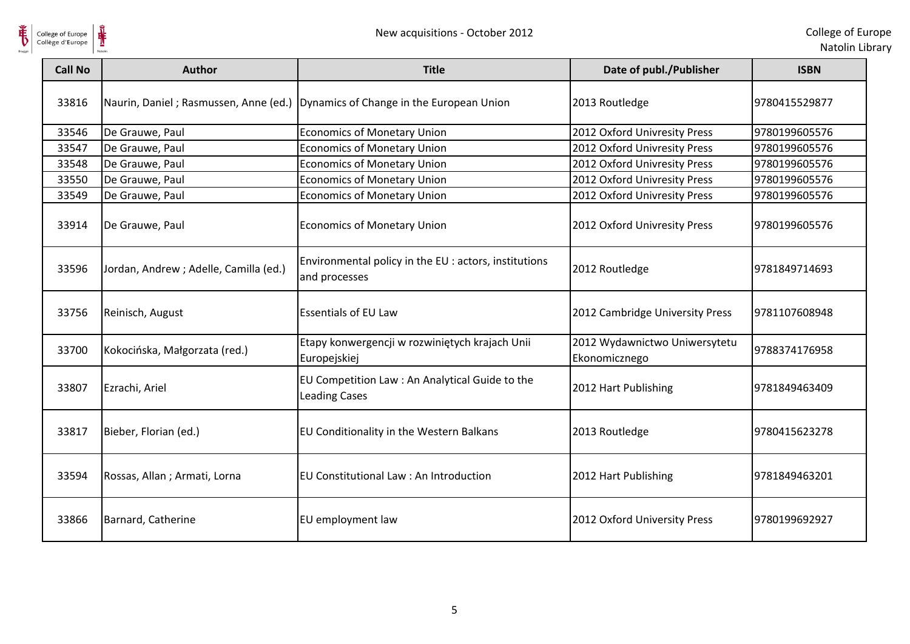



| <b>Call No</b> | <b>Author</b>                          | <b>Title</b>                                                            | Date of publ./Publisher                        | <b>ISBN</b>   |
|----------------|----------------------------------------|-------------------------------------------------------------------------|------------------------------------------------|---------------|
| 33816          | Naurin, Daniel; Rasmussen, Anne (ed.)  | Dynamics of Change in the European Union                                | 2013 Routledge                                 | 9780415529877 |
| 33546          | De Grauwe, Paul                        | <b>Economics of Monetary Union</b>                                      | 2012 Oxford Univresity Press                   | 9780199605576 |
| 33547          | De Grauwe, Paul                        | <b>Economics of Monetary Union</b>                                      | 2012 Oxford Univresity Press                   | 9780199605576 |
| 33548          | De Grauwe, Paul                        | <b>Economics of Monetary Union</b>                                      | 2012 Oxford Univresity Press                   | 9780199605576 |
| 33550          | De Grauwe, Paul                        | <b>Economics of Monetary Union</b>                                      | 2012 Oxford Univresity Press                   | 9780199605576 |
| 33549          | De Grauwe, Paul                        | <b>Economics of Monetary Union</b>                                      | 2012 Oxford Univresity Press                   | 9780199605576 |
| 33914          | De Grauwe, Paul                        | <b>Economics of Monetary Union</b>                                      | 2012 Oxford Univresity Press                   | 9780199605576 |
| 33596          | Jordan, Andrew ; Adelle, Camilla (ed.) | Environmental policy in the EU : actors, institutions<br>and processes  | 2012 Routledge                                 | 9781849714693 |
| 33756          | Reinisch, August                       | <b>Essentials of EU Law</b>                                             | 2012 Cambridge University Press                | 9781107608948 |
| 33700          | Kokocińska, Małgorzata (red.)          | Etapy konwergencji w rozwiniętych krajach Unii<br>Europejskiej          | 2012 Wydawnictwo Uniwersytetu<br>Ekonomicznego | 9788374176958 |
| 33807          | Ezrachi, Ariel                         | EU Competition Law : An Analytical Guide to the<br><b>Leading Cases</b> | 2012 Hart Publishing                           | 9781849463409 |
| 33817          | Bieber, Florian (ed.)                  | EU Conditionality in the Western Balkans                                | 2013 Routledge                                 | 9780415623278 |
| 33594          | Rossas, Allan ; Armati, Lorna          | EU Constitutional Law : An Introduction                                 | 2012 Hart Publishing                           | 9781849463201 |
| 33866          | Barnard, Catherine                     | EU employment law                                                       | 2012 Oxford University Press                   | 9780199692927 |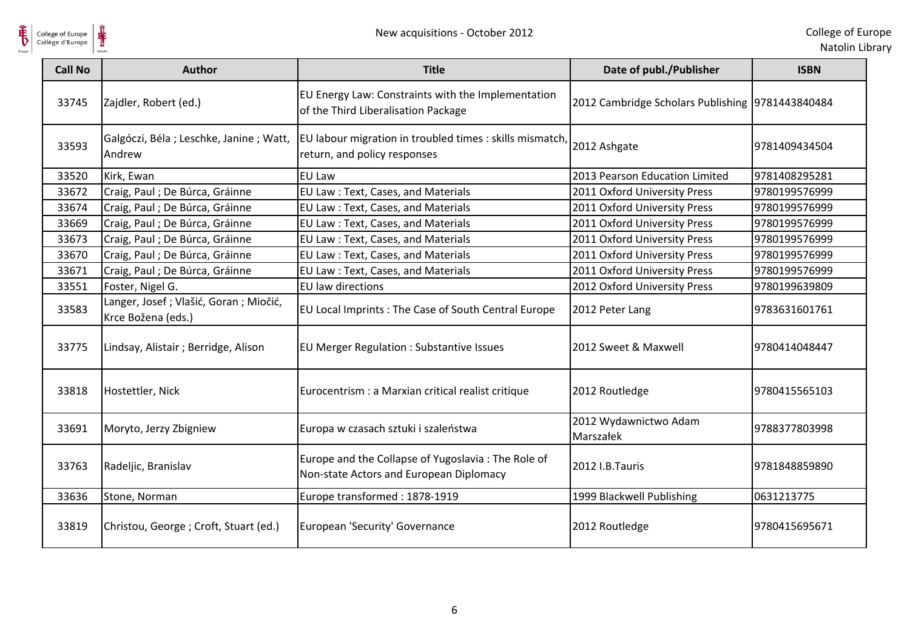

| <b>Call No</b> | Author                                                        | <b>Title</b>                                                                                  | Date of publ./Publisher                          | <b>ISBN</b>   |
|----------------|---------------------------------------------------------------|-----------------------------------------------------------------------------------------------|--------------------------------------------------|---------------|
| 33745          | Zajdler, Robert (ed.)                                         | EU Energy Law: Constraints with the Implementation<br>of the Third Liberalisation Package     | 2012 Cambridge Scholars Publishing 9781443840484 |               |
| 33593          | Galgóczi, Béla; Leschke, Janine; Watt,<br>Andrew              | EU labour migration in troubled times : skills mismatch,<br>return, and policy responses      | 2012 Ashgate                                     | 9781409434504 |
| 33520          | Kirk, Ewan                                                    | <b>EU Law</b>                                                                                 | 2013 Pearson Education Limited                   | 9781408295281 |
| 33672          | Craig, Paul ; De Búrca, Gráinne                               | EU Law: Text, Cases, and Materials                                                            | 2011 Oxford University Press                     | 9780199576999 |
| 33674          | Craig, Paul ; De Búrca, Gráinne                               | EU Law: Text, Cases, and Materials                                                            | 2011 Oxford University Press                     | 9780199576999 |
| 33669          | Craig, Paul ; De Búrca, Gráinne                               | EU Law: Text, Cases, and Materials                                                            | 2011 Oxford University Press                     | 9780199576999 |
| 33673          | Craig, Paul ; De Búrca, Gráinne                               | EU Law: Text, Cases, and Materials                                                            | 2011 Oxford University Press                     | 9780199576999 |
| 33670          | Craig, Paul ; De Búrca, Gráinne                               | EU Law: Text, Cases, and Materials                                                            | 2011 Oxford University Press                     | 9780199576999 |
| 33671          | Craig, Paul ; De Búrca, Gráinne                               | EU Law: Text, Cases, and Materials                                                            | 2011 Oxford University Press                     | 9780199576999 |
| 33551          | Foster, Nigel G.                                              | EU law directions                                                                             | 2012 Oxford University Press                     | 9780199639809 |
| 33583          | Langer, Josef ; Vlašić, Goran ; Miočić,<br>Krce Božena (eds.) | EU Local Imprints: The Case of South Central Europe                                           | 2012 Peter Lang                                  | 9783631601761 |
| 33775          | Lindsay, Alistair ; Berridge, Alison                          | <b>EU Merger Regulation: Substantive Issues</b>                                               | 2012 Sweet & Maxwell                             | 9780414048447 |
| 33818          | Hostettler, Nick                                              | Eurocentrism : a Marxian critical realist critique                                            | 2012 Routledge                                   | 9780415565103 |
| 33691          | Moryto, Jerzy Zbigniew                                        | Europa w czasach sztuki i szaleństwa                                                          | 2012 Wydawnictwo Adam<br>Marszałek               | 9788377803998 |
| 33763          | Radeljic, Branislav                                           | Europe and the Collapse of Yugoslavia: The Role of<br>Non-state Actors and European Diplomacy | 2012 I.B.Tauris                                  | 9781848859890 |
| 33636          | Stone, Norman                                                 | Europe transformed: 1878-1919                                                                 | 1999 Blackwell Publishing                        | 0631213775    |
| 33819          | Christou, George; Croft, Stuart (ed.)                         | European 'Security' Governance                                                                | 2012 Routledge                                   | 9780415695671 |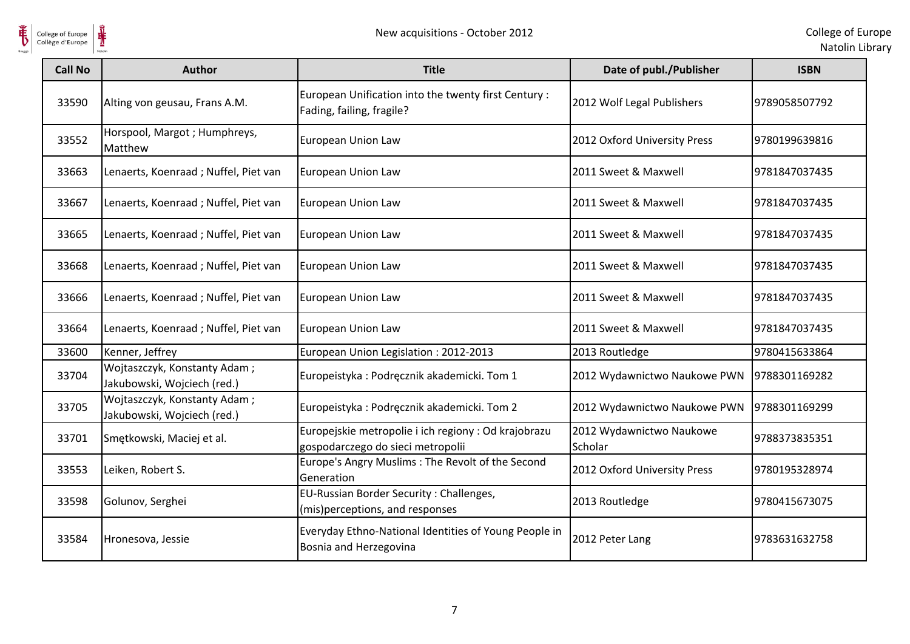

| <b>Call No</b> | <b>Author</b>                                               | <b>Title</b>                                                                              | Date of publ./Publisher             | <b>ISBN</b>   |
|----------------|-------------------------------------------------------------|-------------------------------------------------------------------------------------------|-------------------------------------|---------------|
| 33590          | Alting von geusau, Frans A.M.                               | European Unification into the twenty first Century :<br>Fading, failing, fragile?         | 2012 Wolf Legal Publishers          | 9789058507792 |
| 33552          | Horspool, Margot; Humphreys,<br>Matthew                     | <b>European Union Law</b>                                                                 | 2012 Oxford University Press        | 9780199639816 |
| 33663          | Lenaerts, Koenraad; Nuffel, Piet van                        | <b>European Union Law</b>                                                                 | 2011 Sweet & Maxwell                | 9781847037435 |
| 33667          | Lenaerts, Koenraad; Nuffel, Piet van                        | European Union Law                                                                        | 2011 Sweet & Maxwell                | 9781847037435 |
| 33665          | Lenaerts, Koenraad; Nuffel, Piet van                        | European Union Law                                                                        | 2011 Sweet & Maxwell                | 9781847037435 |
| 33668          | Lenaerts, Koenraad; Nuffel, Piet van                        | European Union Law                                                                        | 2011 Sweet & Maxwell                | 9781847037435 |
| 33666          | Lenaerts, Koenraad; Nuffel, Piet van                        | European Union Law                                                                        | 2011 Sweet & Maxwell                | 9781847037435 |
| 33664          | Lenaerts, Koenraad; Nuffel, Piet van                        | European Union Law                                                                        | 2011 Sweet & Maxwell                | 9781847037435 |
| 33600          | Kenner, Jeffrey                                             | European Union Legislation: 2012-2013                                                     | 2013 Routledge                      | 9780415633864 |
| 33704          | Wojtaszczyk, Konstanty Adam;<br>Jakubowski, Wojciech (red.) | Europeistyka: Podręcznik akademicki. Tom 1                                                | 2012 Wydawnictwo Naukowe PWN        | 9788301169282 |
| 33705          | Wojtaszczyk, Konstanty Adam;<br>Jakubowski, Wojciech (red.) | Europeistyka: Podręcznik akademicki. Tom 2                                                | 2012 Wydawnictwo Naukowe PWN        | 9788301169299 |
| 33701          | Smętkowski, Maciej et al.                                   | Europejskie metropolie i ich regiony : Od krajobrazu<br>gospodarczego do sieci metropolii | 2012 Wydawnictwo Naukowe<br>Scholar | 9788373835351 |
| 33553          | Leiken, Robert S.                                           | Europe's Angry Muslims: The Revolt of the Second<br>Generation                            | 2012 Oxford University Press        | 9780195328974 |
| 33598          | Golunov, Serghei                                            | EU-Russian Border Security: Challenges,<br>(mis)perceptions, and responses                | 2013 Routledge                      | 9780415673075 |
| 33584          | Hronesova, Jessie                                           | Everyday Ethno-National Identities of Young People in<br>Bosnia and Herzegovina           | 2012 Peter Lang                     | 9783631632758 |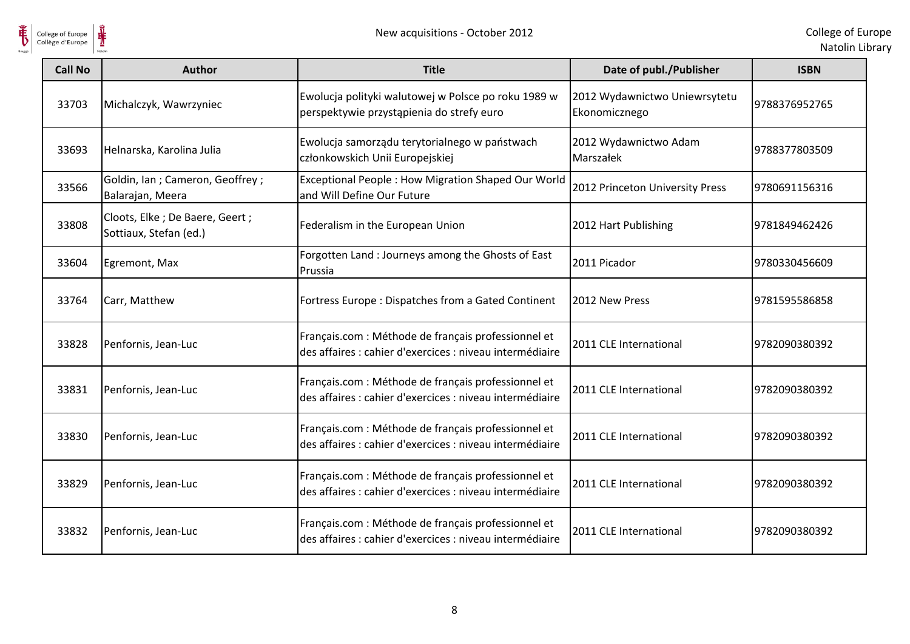

| <b>Call No</b> | <b>Author</b>                                              | <b>Title</b>                                                                                                    | Date of publ./Publisher                        | <b>ISBN</b>   |
|----------------|------------------------------------------------------------|-----------------------------------------------------------------------------------------------------------------|------------------------------------------------|---------------|
| 33703          | Michalczyk, Wawrzyniec                                     | Ewolucja polityki walutowej w Polsce po roku 1989 w<br>perspektywie przystąpienia do strefy euro                | 2012 Wydawnictwo Uniewrsytetu<br>Ekonomicznego | 9788376952765 |
| 33693          | Helnarska, Karolina Julia                                  | Ewolucja samorządu terytorialnego w państwach<br>członkowskich Unii Europejskiej                                | 2012 Wydawnictwo Adam<br>Marszałek             | 9788377803509 |
| 33566          | Goldin, Ian ; Cameron, Geoffrey ;<br>Balarajan, Meera      | Exceptional People: How Migration Shaped Our World<br>and Will Define Our Future                                | 2012 Princeton University Press                | 9780691156316 |
| 33808          | Cloots, Elke ; De Baere, Geert ;<br>Sottiaux, Stefan (ed.) | Federalism in the European Union                                                                                | 2012 Hart Publishing                           | 9781849462426 |
| 33604          | Egremont, Max                                              | Forgotten Land : Journeys among the Ghosts of East<br>Prussia                                                   | 2011 Picador                                   | 9780330456609 |
| 33764          | Carr, Matthew                                              | Fortress Europe: Dispatches from a Gated Continent                                                              | 2012 New Press                                 | 9781595586858 |
| 33828          | Penfornis, Jean-Luc                                        | Français.com : Méthode de français professionnel et<br>des affaires : cahier d'exercices : niveau intermédiaire | 2011 CLE International                         | 9782090380392 |
| 33831          | Penfornis, Jean-Luc                                        | Français.com : Méthode de français professionnel et<br>des affaires : cahier d'exercices : niveau intermédiaire | 2011 CLE International                         | 9782090380392 |
| 33830          | Penfornis, Jean-Luc                                        | Français.com : Méthode de français professionnel et<br>des affaires : cahier d'exercices : niveau intermédiaire | 2011 CLE International                         | 9782090380392 |
| 33829          | Penfornis, Jean-Luc                                        | Français.com : Méthode de français professionnel et<br>des affaires : cahier d'exercices : niveau intermédiaire | 2011 CLE International                         | 9782090380392 |
| 33832          | Penfornis, Jean-Luc                                        | Français.com : Méthode de français professionnel et<br>des affaires : cahier d'exercices : niveau intermédiaire | 2011 CLE International                         | 9782090380392 |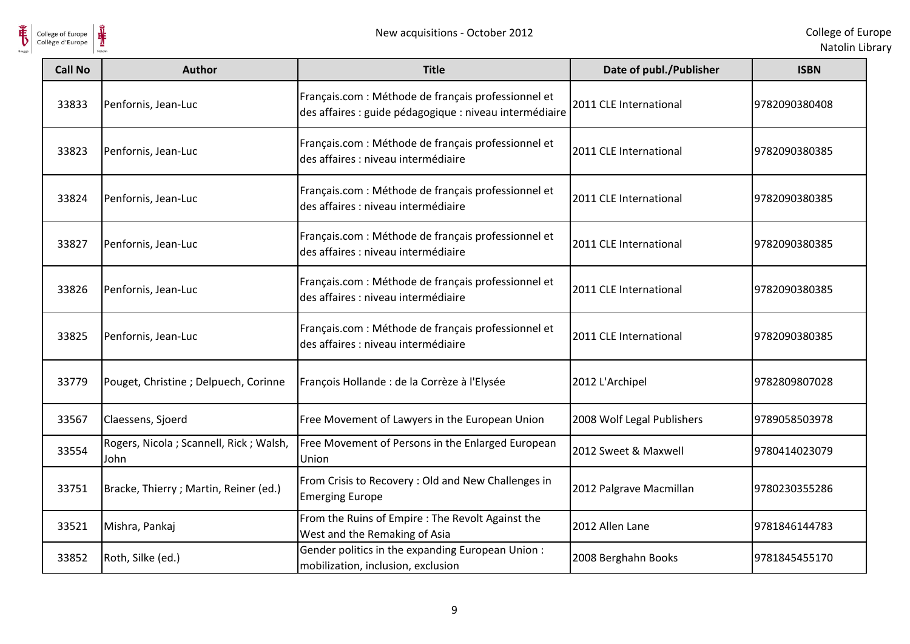

| <b>Call No</b> | <b>Author</b>                                    | <b>Title</b>                                                                                                   | Date of publ./Publisher    | <b>ISBN</b>   |
|----------------|--------------------------------------------------|----------------------------------------------------------------------------------------------------------------|----------------------------|---------------|
| 33833          | Penfornis, Jean-Luc                              | Français.com : Méthode de français professionnel et<br>des affaires : guide pédagogique : niveau intermédiaire | 2011 CLE International     | 9782090380408 |
| 33823          | Penfornis, Jean-Luc                              | Français.com : Méthode de français professionnel et<br>des affaires : niveau intermédiaire                     | 2011 CLE International     | 9782090380385 |
| 33824          | Penfornis, Jean-Luc                              | Français.com : Méthode de français professionnel et<br>des affaires : niveau intermédiaire                     | 2011 CLE International     | 9782090380385 |
| 33827          | Penfornis, Jean-Luc                              | Français.com : Méthode de français professionnel et<br>des affaires : niveau intermédiaire                     | 2011 CLE International     | 9782090380385 |
| 33826          | Penfornis, Jean-Luc                              | Français.com : Méthode de français professionnel et<br>des affaires : niveau intermédiaire                     | 2011 CLE International     | 9782090380385 |
| 33825          | Penfornis, Jean-Luc                              | Français.com : Méthode de français professionnel et<br>des affaires : niveau intermédiaire                     | 2011 CLE International     | 9782090380385 |
| 33779          | Pouget, Christine ; Delpuech, Corinne            | François Hollande : de la Corrèze à l'Elysée                                                                   | 2012 L'Archipel            | 9782809807028 |
| 33567          | Claessens, Sjoerd                                | Free Movement of Lawyers in the European Union                                                                 | 2008 Wolf Legal Publishers | 9789058503978 |
| 33554          | Rogers, Nicola ; Scannell, Rick ; Walsh,<br>John | Free Movement of Persons in the Enlarged European<br>Union                                                     | 2012 Sweet & Maxwell       | 9780414023079 |
| 33751          | Bracke, Thierry ; Martin, Reiner (ed.)           | From Crisis to Recovery: Old and New Challenges in<br><b>Emerging Europe</b>                                   | 2012 Palgrave Macmillan    | 9780230355286 |
| 33521          | Mishra, Pankaj                                   | From the Ruins of Empire : The Revolt Against the<br>West and the Remaking of Asia                             | 2012 Allen Lane            | 9781846144783 |
| 33852          | Roth, Silke (ed.)                                | Gender politics in the expanding European Union:<br>mobilization, inclusion, exclusion                         | 2008 Berghahn Books        | 9781845455170 |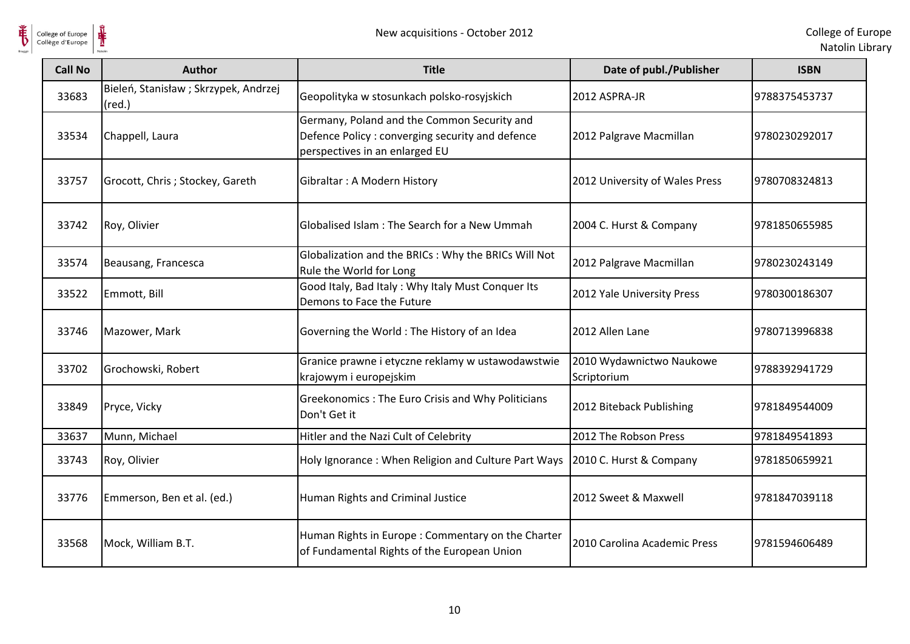

| <b>Call No</b> | <b>Author</b>                                            | <b>Title</b>                                                                                                                      | Date of publ./Publisher                 | <b>ISBN</b>   |
|----------------|----------------------------------------------------------|-----------------------------------------------------------------------------------------------------------------------------------|-----------------------------------------|---------------|
| 33683          | Bieleń, Stanisław ; Skrzypek, Andrzej<br>$(\text{red.})$ | Geopolityka w stosunkach polsko-rosyjskich                                                                                        | 2012 ASPRA-JR                           | 9788375453737 |
| 33534          | Chappell, Laura                                          | Germany, Poland and the Common Security and<br>Defence Policy : converging security and defence<br>perspectives in an enlarged EU | 2012 Palgrave Macmillan                 | 9780230292017 |
| 33757          | Grocott, Chris; Stockey, Gareth                          | Gibraltar: A Modern History                                                                                                       | 2012 University of Wales Press          | 9780708324813 |
| 33742          | Roy, Olivier                                             | Globalised Islam: The Search for a New Ummah                                                                                      | 2004 C. Hurst & Company                 | 9781850655985 |
| 33574          | Beausang, Francesca                                      | Globalization and the BRICs : Why the BRICs Will Not<br>Rule the World for Long                                                   | 2012 Palgrave Macmillan                 | 9780230243149 |
| 33522          | Emmott, Bill                                             | Good Italy, Bad Italy: Why Italy Must Conquer Its<br>Demons to Face the Future                                                    | 2012 Yale University Press              | 9780300186307 |
| 33746          | Mazower, Mark                                            | Governing the World: The History of an Idea                                                                                       | 2012 Allen Lane                         | 9780713996838 |
| 33702          | Grochowski, Robert                                       | Granice prawne i etyczne reklamy w ustawodawstwie<br>krajowym i europejskim                                                       | 2010 Wydawnictwo Naukowe<br>Scriptorium | 9788392941729 |
| 33849          | Pryce, Vicky                                             | Greekonomics: The Euro Crisis and Why Politicians<br>Don't Get it                                                                 | 2012 Biteback Publishing                | 9781849544009 |
| 33637          | Munn, Michael                                            | Hitler and the Nazi Cult of Celebrity                                                                                             | 2012 The Robson Press                   | 9781849541893 |
| 33743          | Roy, Olivier                                             | Holy Ignorance: When Religion and Culture Part Ways                                                                               | 2010 C. Hurst & Company                 | 9781850659921 |
| 33776          | Emmerson, Ben et al. (ed.)                               | Human Rights and Criminal Justice                                                                                                 | 2012 Sweet & Maxwell                    | 9781847039118 |
| 33568          | Mock, William B.T.                                       | Human Rights in Europe: Commentary on the Charter<br>of Fundamental Rights of the European Union                                  | 2010 Carolina Academic Press            | 9781594606489 |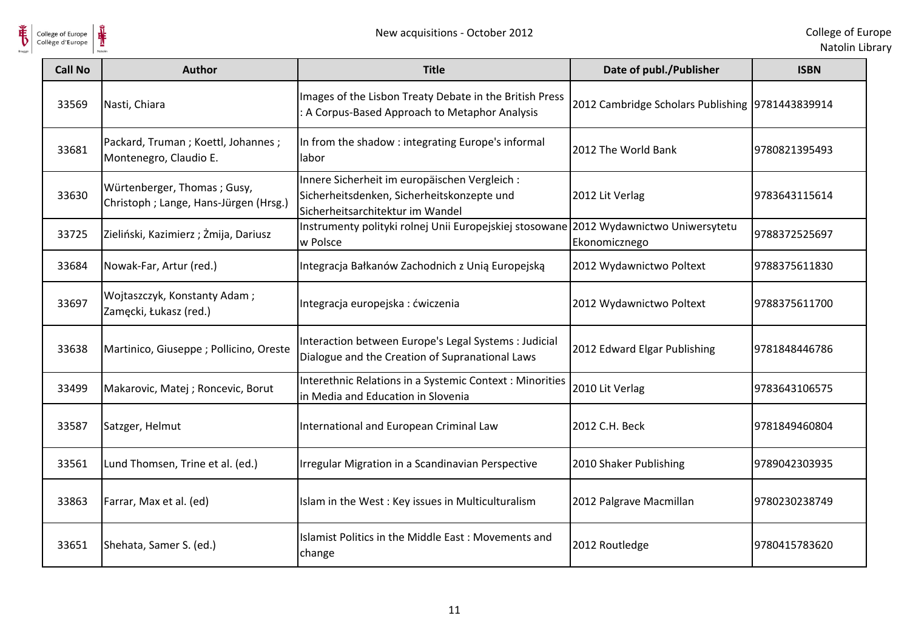

| <b>Call No</b> | <b>Author</b>                                                        | <b>Title</b>                                                                                                                    | Date of publ./Publisher                           | <b>ISBN</b>   |
|----------------|----------------------------------------------------------------------|---------------------------------------------------------------------------------------------------------------------------------|---------------------------------------------------|---------------|
| 33569          | Nasti, Chiara                                                        | Images of the Lisbon Treaty Debate in the British Press<br>: A Corpus-Based Approach to Metaphor Analysis                       | 2012 Cambridge Scholars Publishing  9781443839914 |               |
| 33681          | Packard, Truman; Koettl, Johannes;<br>Montenegro, Claudio E.         | In from the shadow: integrating Europe's informal<br>labor                                                                      | 2012 The World Bank                               | 9780821395493 |
| 33630          | Würtenberger, Thomas; Gusy,<br>Christoph; Lange, Hans-Jürgen (Hrsg.) | Innere Sicherheit im europäischen Vergleich :<br>Sicherheitsdenken, Sicherheitskonzepte und<br>Sicherheitsarchitektur im Wandel | 2012 Lit Verlag                                   | 9783643115614 |
| 33725          | Zieliński, Kazimierz; Żmija, Dariusz                                 | Instrumenty polityki rolnej Unii Europejskiej stosowane 2012 Wydawnictwo Uniwersytetu<br>w Polsce                               | Ekonomicznego                                     | 9788372525697 |
| 33684          | Nowak-Far, Artur (red.)                                              | Integracja Bałkanów Zachodnich z Unią Europejską                                                                                | 2012 Wydawnictwo Poltext                          | 9788375611830 |
| 33697          | Wojtaszczyk, Konstanty Adam;<br>Zamęcki, Łukasz (red.)               | Integracja europejska : ćwiczenia                                                                                               | 2012 Wydawnictwo Poltext                          | 9788375611700 |
| 33638          | Martinico, Giuseppe; Pollicino, Oreste                               | Interaction between Europe's Legal Systems : Judicial<br>Dialogue and the Creation of Supranational Laws                        | 2012 Edward Elgar Publishing                      | 9781848446786 |
| 33499          | Makarovic, Matej ; Roncevic, Borut                                   | Interethnic Relations in a Systemic Context : Minorities<br>in Media and Education in Slovenia                                  | 2010 Lit Verlag                                   | 9783643106575 |
| 33587          | Satzger, Helmut                                                      | International and European Criminal Law                                                                                         | 2012 C.H. Beck                                    | 9781849460804 |
| 33561          | Lund Thomsen, Trine et al. (ed.)                                     | Irregular Migration in a Scandinavian Perspective                                                                               | 2010 Shaker Publishing                            | 9789042303935 |
| 33863          | Farrar, Max et al. (ed)                                              | Islam in the West: Key issues in Multiculturalism                                                                               | 2012 Palgrave Macmillan                           | 9780230238749 |
| 33651          | Shehata, Samer S. (ed.)                                              | Islamist Politics in the Middle East: Movements and<br>change                                                                   | 2012 Routledge                                    | 9780415783620 |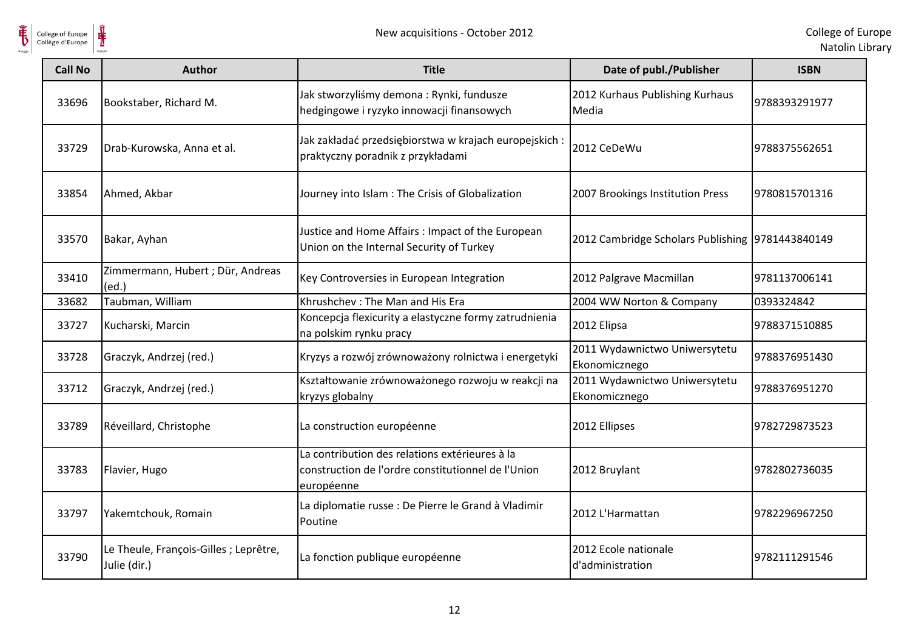

| <b>Call No</b> | <b>Author</b>                                          | <b>Title</b>                                                                                                       | Date of publ./Publisher                          | <b>ISBN</b>   |
|----------------|--------------------------------------------------------|--------------------------------------------------------------------------------------------------------------------|--------------------------------------------------|---------------|
| 33696          | Bookstaber, Richard M.                                 | Jak stworzyliśmy demona: Rynki, fundusze<br>hedgingowe i ryzyko innowacji finansowych                              | 2012 Kurhaus Publishing Kurhaus<br>Media         | 9788393291977 |
| 33729          | Drab-Kurowska, Anna et al.                             | Jak zakładać przedsiębiorstwa w krajach europejskich :<br>praktyczny poradnik z przykładami                        | 2012 CeDeWu                                      | 9788375562651 |
| 33854          | Ahmed, Akbar                                           | Journey into Islam: The Crisis of Globalization                                                                    | 2007 Brookings Institution Press                 | 9780815701316 |
| 33570          | Bakar, Ayhan                                           | Justice and Home Affairs: Impact of the European<br>Union on the Internal Security of Turkey                       | 2012 Cambridge Scholars Publishing 9781443840149 |               |
| 33410          | Zimmermann, Hubert; Dür, Andreas<br>(ed.)              | Key Controversies in European Integration                                                                          | 2012 Palgrave Macmillan                          | 9781137006141 |
| 33682          | Taubman, William                                       | Khrushchev: The Man and His Era                                                                                    | 2004 WW Norton & Company                         | 0393324842    |
| 33727          | Kucharski, Marcin                                      | Koncepcja flexicurity a elastyczne formy zatrudnienia<br>na polskim rynku pracy                                    | 2012 Elipsa                                      | 9788371510885 |
| 33728          | Graczyk, Andrzej (red.)                                | Kryzys a rozwój zrównoważony rolnictwa i energetyki                                                                | 2011 Wydawnictwo Uniwersytetu<br>Ekonomicznego   | 9788376951430 |
| 33712          | Graczyk, Andrzej (red.)                                | Kształtowanie zrównoważonego rozwoju w reakcji na<br>kryzys globalny                                               | 2011 Wydawnictwo Uniwersytetu<br>Ekonomicznego   | 9788376951270 |
| 33789          | Réveillard, Christophe                                 | La construction européenne                                                                                         | 2012 Ellipses                                    | 9782729873523 |
| 33783          | Flavier, Hugo                                          | La contribution des relations extérieures à la<br>construction de l'ordre constitutionnel de l'Union<br>européenne | 2012 Bruylant                                    | 9782802736035 |
| 33797          | Yakemtchouk, Romain                                    | La diplomatie russe : De Pierre le Grand à Vladimir<br>Poutine                                                     | 2012 L'Harmattan                                 | 9782296967250 |
| 33790          | Le Theule, François-Gilles ; Leprêtre,<br>Julie (dir.) | La fonction publique européenne                                                                                    | 2012 Ecole nationale<br>d'administration         | 9782111291546 |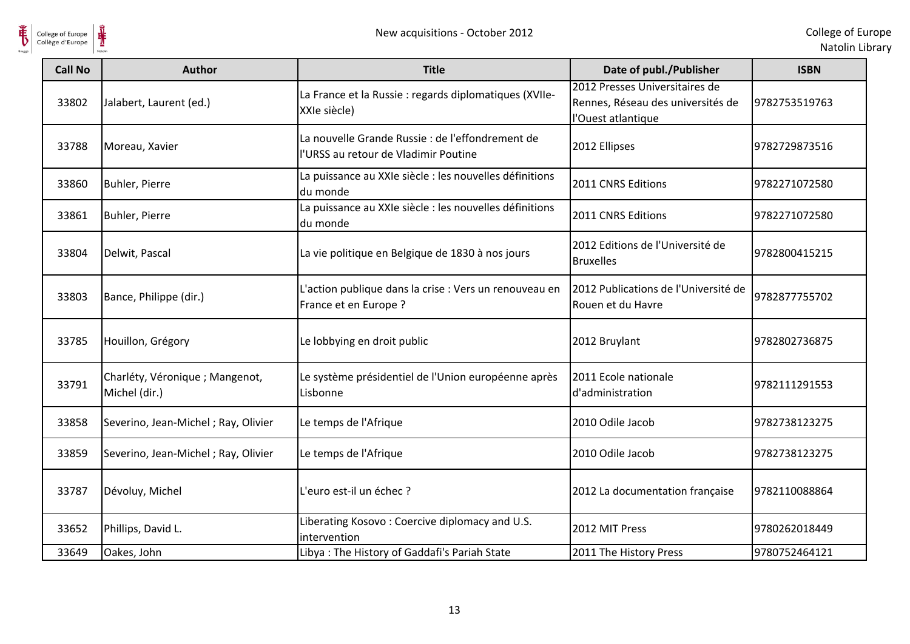

| <b>Call No</b> | Author                                           | <b>Title</b>                                                                             | Date of publ./Publisher                                                                   | <b>ISBN</b>   |
|----------------|--------------------------------------------------|------------------------------------------------------------------------------------------|-------------------------------------------------------------------------------------------|---------------|
| 33802          | Jalabert, Laurent (ed.)                          | La France et la Russie : regards diplomatiques (XVIIe-<br>XXIe siècle)                   | 2012 Presses Universitaires de<br>Rennes, Réseau des universités de<br>l'Ouest atlantique | 9782753519763 |
| 33788          | Moreau, Xavier                                   | La nouvelle Grande Russie : de l'effondrement de<br>l'URSS au retour de Vladimir Poutine | 2012 Ellipses                                                                             | 9782729873516 |
| 33860          | Buhler, Pierre                                   | La puissance au XXIe siècle : les nouvelles définitions<br>du monde                      | 2011 CNRS Editions                                                                        | 9782271072580 |
| 33861          | Buhler, Pierre                                   | La puissance au XXIe siècle : les nouvelles définitions<br>du monde                      | 2011 CNRS Editions                                                                        | 9782271072580 |
| 33804          | Delwit, Pascal                                   | La vie politique en Belgique de 1830 à nos jours                                         | 2012 Editions de l'Université de<br><b>Bruxelles</b>                                      | 9782800415215 |
| 33803          | Bance, Philippe (dir.)                           | L'action publique dans la crise : Vers un renouveau en<br>France et en Europe ?          | 2012 Publications de l'Université de<br>Rouen et du Havre                                 | 9782877755702 |
| 33785          | Houillon, Grégory                                | Le lobbying en droit public                                                              | 2012 Bruylant                                                                             | 9782802736875 |
| 33791          | Charléty, Véronique ; Mangenot,<br>Michel (dir.) | Le système présidentiel de l'Union européenne après<br>Lisbonne                          | 2011 Ecole nationale<br>d'administration                                                  | 9782111291553 |
| 33858          | Severino, Jean-Michel; Ray, Olivier              | Le temps de l'Afrique                                                                    | 2010 Odile Jacob                                                                          | 9782738123275 |
| 33859          | Severino, Jean-Michel; Ray, Olivier              | Le temps de l'Afrique                                                                    | 2010 Odile Jacob                                                                          | 9782738123275 |
| 33787          | Dévoluy, Michel                                  | L'euro est-il un échec ?                                                                 | 2012 La documentation française                                                           | 9782110088864 |
| 33652          | Phillips, David L.                               | Liberating Kosovo: Coercive diplomacy and U.S.<br>intervention                           | 2012 MIT Press                                                                            | 9780262018449 |
| 33649          | Oakes, John                                      | Libya: The History of Gaddafi's Pariah State                                             | 2011 The History Press                                                                    | 9780752464121 |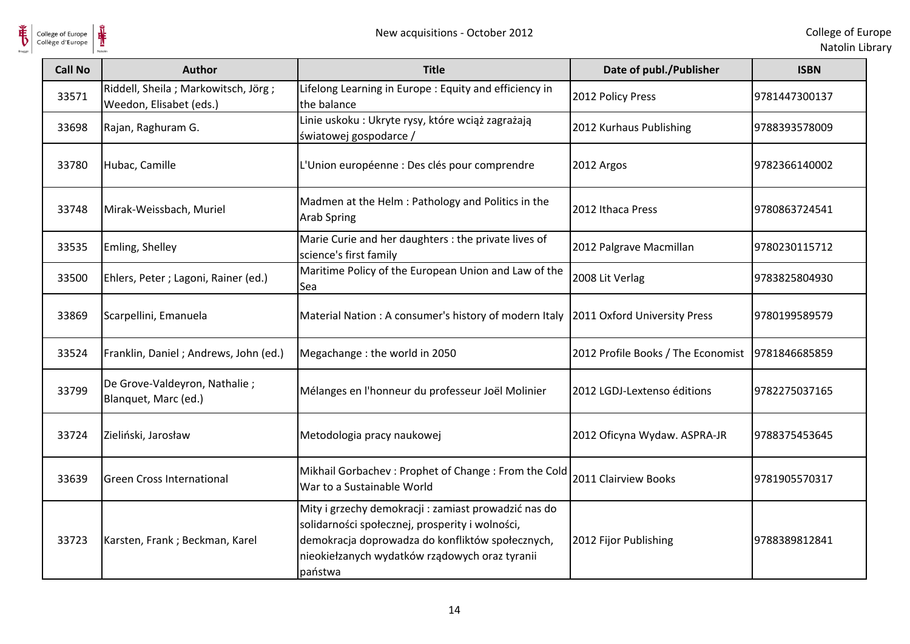

| <b>Call No</b> | <b>Author</b>                                                  | <b>Title</b>                                                                                                                                                                                                             | Date of publ./Publisher            | <b>ISBN</b>   |
|----------------|----------------------------------------------------------------|--------------------------------------------------------------------------------------------------------------------------------------------------------------------------------------------------------------------------|------------------------------------|---------------|
| 33571          | Riddell, Sheila; Markowitsch, Jörg;<br>Weedon, Elisabet (eds.) | Lifelong Learning in Europe : Equity and efficiency in<br>the balance                                                                                                                                                    | 2012 Policy Press                  | 9781447300137 |
| 33698          | Rajan, Raghuram G.                                             | Linie uskoku: Ukryte rysy, które wciąż zagrażają<br>światowej gospodarce /                                                                                                                                               | 2012 Kurhaus Publishing            | 9788393578009 |
| 33780          | Hubac, Camille                                                 | L'Union européenne : Des clés pour comprendre                                                                                                                                                                            | 2012 Argos                         | 9782366140002 |
| 33748          | Mirak-Weissbach, Muriel                                        | Madmen at the Helm: Pathology and Politics in the<br><b>Arab Spring</b>                                                                                                                                                  | 2012 Ithaca Press                  | 9780863724541 |
| 33535          | Emling, Shelley                                                | Marie Curie and her daughters : the private lives of<br>science's first family                                                                                                                                           | 2012 Palgrave Macmillan            | 9780230115712 |
| 33500          | Ehlers, Peter ; Lagoni, Rainer (ed.)                           | Maritime Policy of the European Union and Law of the<br>Sea                                                                                                                                                              | 2008 Lit Verlag                    | 9783825804930 |
| 33869          | Scarpellini, Emanuela                                          | Material Nation: A consumer's history of modern Italy 2011 Oxford University Press                                                                                                                                       |                                    | 9780199589579 |
| 33524          | Franklin, Daniel; Andrews, John (ed.)                          | Megachange: the world in 2050                                                                                                                                                                                            | 2012 Profile Books / The Economist | 9781846685859 |
| 33799          | De Grove-Valdeyron, Nathalie;<br>Blanquet, Marc (ed.)          | Mélanges en l'honneur du professeur Joël Molinier                                                                                                                                                                        | 2012 LGDJ-Lextenso éditions        | 9782275037165 |
| 33724          | Zieliński, Jarosław                                            | Metodologia pracy naukowej                                                                                                                                                                                               | 2012 Oficyna Wydaw. ASPRA-JR       | 9788375453645 |
| 33639          | <b>Green Cross International</b>                               | Mikhail Gorbachev: Prophet of Change: From the Cold<br>War to a Sustainable World                                                                                                                                        | 2011 Clairview Books               | 9781905570317 |
| 33723          | Karsten, Frank; Beckman, Karel                                 | Mity i grzechy demokracji : zamiast prowadzić nas do<br>solidarności społecznej, prosperity i wolności,<br>demokracja doprowadza do konfliktów społecznych,<br>nieokiełzanych wydatków rządowych oraz tyranii<br>państwa | 2012 Fijor Publishing              | 9788389812841 |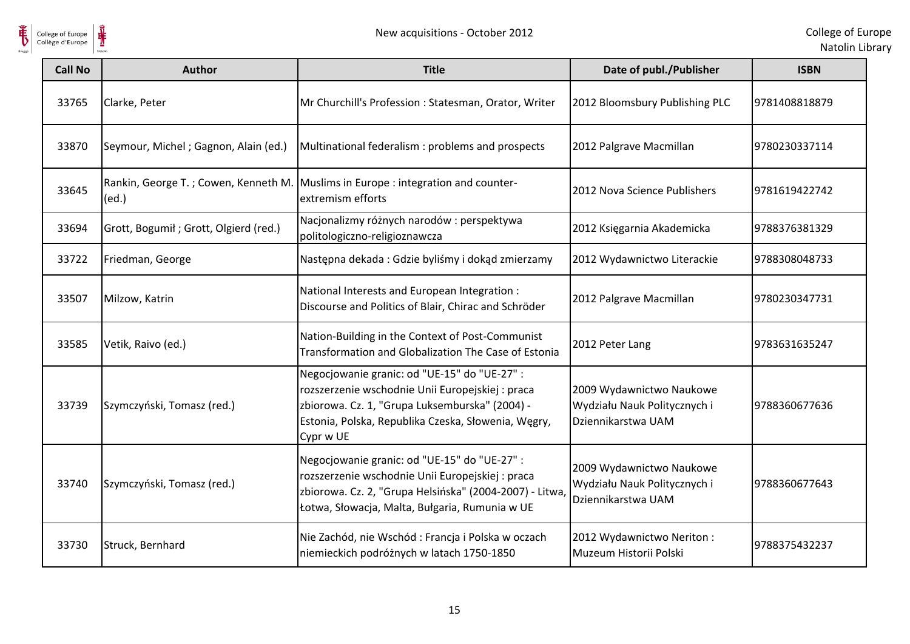

| <b>Call No</b> | <b>Author</b>                                  | <b>Title</b>                                                                                                                                                                                                           | Date of publ./Publisher                                                        | <b>ISBN</b>   |
|----------------|------------------------------------------------|------------------------------------------------------------------------------------------------------------------------------------------------------------------------------------------------------------------------|--------------------------------------------------------------------------------|---------------|
| 33765          | Clarke, Peter                                  | Mr Churchill's Profession : Statesman, Orator, Writer                                                                                                                                                                  | 2012 Bloomsbury Publishing PLC                                                 | 9781408818879 |
| 33870          | Seymour, Michel; Gagnon, Alain (ed.)           | Multinational federalism : problems and prospects                                                                                                                                                                      | 2012 Palgrave Macmillan                                                        | 9780230337114 |
| 33645          | Rankin, George T. ; Cowen, Kenneth M.<br>(ed.) | Muslims in Europe : integration and counter-<br>extremism efforts                                                                                                                                                      | 2012 Nova Science Publishers                                                   | 9781619422742 |
| 33694          | Grott, Bogumił; Grott, Olgierd (red.)          | Nacjonalizmy różnych narodów: perspektywa<br>politologiczno-religioznawcza                                                                                                                                             | 2012 Księgarnia Akademicka                                                     | 9788376381329 |
| 33722          | Friedman, George                               | Następna dekada: Gdzie byliśmy i dokąd zmierzamy                                                                                                                                                                       | 2012 Wydawnictwo Literackie                                                    | 9788308048733 |
| 33507          | Milzow, Katrin                                 | National Interests and European Integration :<br>Discourse and Politics of Blair, Chirac and Schröder                                                                                                                  | 2012 Palgrave Macmillan                                                        | 9780230347731 |
| 33585          | Vetik, Raivo (ed.)                             | Nation-Building in the Context of Post-Communist<br>Transformation and Globalization The Case of Estonia                                                                                                               | 2012 Peter Lang                                                                | 9783631635247 |
| 33739          | Szymczyński, Tomasz (red.)                     | Negocjowanie granic: od "UE-15" do "UE-27" :<br>rozszerzenie wschodnie Unii Europejskiej : praca<br>zbiorowa. Cz. 1, "Grupa Luksemburska" (2004) -<br>Estonia, Polska, Republika Czeska, Słowenia, Węgry,<br>Cypr w UE | 2009 Wydawnictwo Naukowe<br>Wydziału Nauk Politycznych i<br>Dziennikarstwa UAM | 9788360677636 |
| 33740          | Szymczyński, Tomasz (red.)                     | Negocjowanie granic: od "UE-15" do "UE-27" :<br>rozszerzenie wschodnie Unii Europejskiej : praca<br>zbiorowa. Cz. 2, "Grupa Helsińska" (2004-2007) - Litwa<br>Łotwa, Słowacja, Malta, Bułgaria, Rumunia w UE           | 2009 Wydawnictwo Naukowe<br>Wydziału Nauk Politycznych i<br>Dziennikarstwa UAM | 9788360677643 |
| 33730          | Struck, Bernhard                               | Nie Zachód, nie Wschód: Francja i Polska w oczach<br>niemieckich podróżnych w latach 1750-1850                                                                                                                         | 2012 Wydawnictwo Neriton:<br>Muzeum Historii Polski                            | 9788375432237 |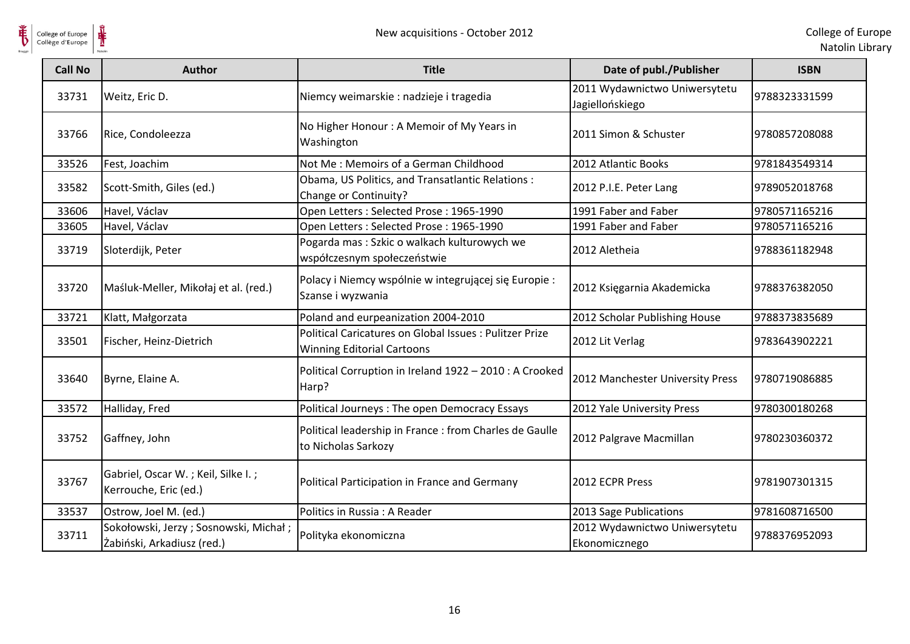

| <b>Call No</b> | <b>Author</b>                                                       | <b>Title</b>                                                                                 | Date of publ./Publisher                          | <b>ISBN</b>   |
|----------------|---------------------------------------------------------------------|----------------------------------------------------------------------------------------------|--------------------------------------------------|---------------|
| 33731          | Weitz, Eric D.                                                      | Niemcy weimarskie : nadzieje i tragedia                                                      | 2011 Wydawnictwo Uniwersytetu<br>Jagiellońskiego | 9788323331599 |
| 33766          | Rice, Condoleezza                                                   | No Higher Honour: A Memoir of My Years in<br>Washington                                      | 2011 Simon & Schuster                            | 9780857208088 |
| 33526          | Fest, Joachim                                                       | Not Me: Memoirs of a German Childhood                                                        | 2012 Atlantic Books                              | 9781843549314 |
| 33582          | Scott-Smith, Giles (ed.)                                            | Obama, US Politics, and Transatlantic Relations:<br>Change or Continuity?                    | 2012 P.I.E. Peter Lang                           | 9789052018768 |
| 33606          | Havel, Václav                                                       | Open Letters: Selected Prose: 1965-1990                                                      | 1991 Faber and Faber                             | 9780571165216 |
| 33605          | Havel, Václav                                                       | Open Letters: Selected Prose: 1965-1990                                                      | 1991 Faber and Faber                             | 9780571165216 |
| 33719          | Sloterdijk, Peter                                                   | Pogarda mas : Szkic o walkach kulturowych we<br>współczesnym społeczeństwie                  | 2012 Aletheia                                    | 9788361182948 |
| 33720          | Maśluk-Meller, Mikołaj et al. (red.)                                | Polacy i Niemcy wspólnie w integrującej się Europie :<br>Szanse i wyzwania                   | 2012 Księgarnia Akademicka                       | 9788376382050 |
| 33721          | Klatt, Małgorzata                                                   | Poland and eurpeanization 2004-2010                                                          | 2012 Scholar Publishing House                    | 9788373835689 |
| 33501          | Fischer, Heinz-Dietrich                                             | Political Caricatures on Global Issues : Pulitzer Prize<br><b>Winning Editorial Cartoons</b> | 2012 Lit Verlag                                  | 9783643902221 |
| 33640          | Byrne, Elaine A.                                                    | Political Corruption in Ireland 1922 - 2010 : A Crooked<br>Harp?                             | 2012 Manchester University Press                 | 9780719086885 |
| 33572          | Halliday, Fred                                                      | Political Journeys: The open Democracy Essays                                                | 2012 Yale University Press                       | 9780300180268 |
| 33752          | Gaffney, John                                                       | Political leadership in France : from Charles de Gaulle<br>to Nicholas Sarkozy               | 2012 Palgrave Macmillan                          | 9780230360372 |
| 33767          | Gabriel, Oscar W.; Keil, Silke I.;<br>Kerrouche, Eric (ed.)         | Political Participation in France and Germany                                                | 2012 ECPR Press                                  | 9781907301315 |
| 33537          | Ostrow, Joel M. (ed.)                                               | Politics in Russia : A Reader                                                                | 2013 Sage Publications                           | 9781608716500 |
| 33711          | Sokołowski, Jerzy; Sosnowski, Michał;<br>Żabiński, Arkadiusz (red.) | Polityka ekonomiczna                                                                         | 2012 Wydawnictwo Uniwersytetu<br>Ekonomicznego   | 9788376952093 |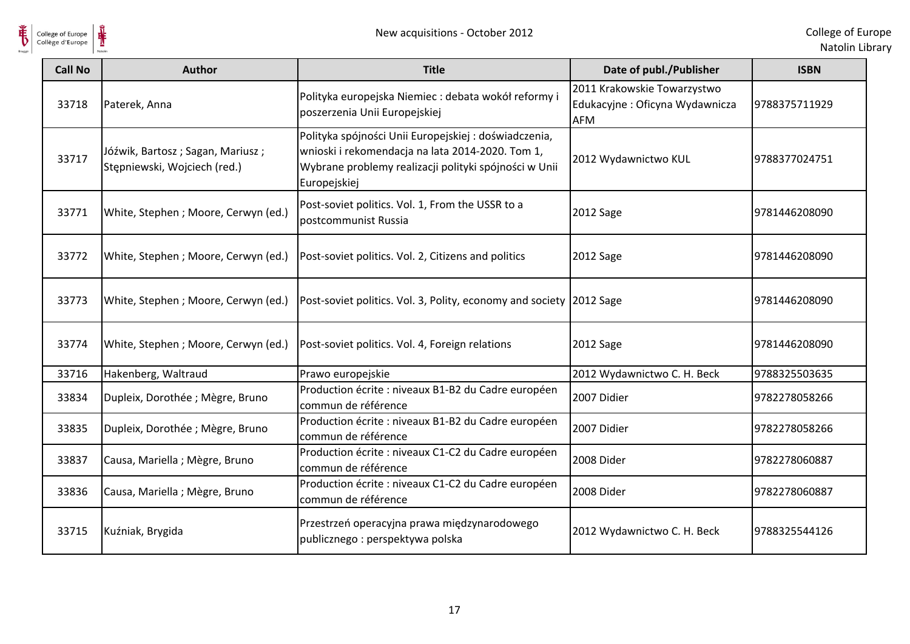

| <b>Call No</b> | <b>Author</b>                                                    | <b>Title</b>                                                                                                                                                                      | Date of publ./Publisher                                                     | <b>ISBN</b>   |
|----------------|------------------------------------------------------------------|-----------------------------------------------------------------------------------------------------------------------------------------------------------------------------------|-----------------------------------------------------------------------------|---------------|
| 33718          | Paterek, Anna                                                    | Polityka europejska Niemiec : debata wokół reformy i<br>poszerzenia Unii Europejskiej                                                                                             | 2011 Krakowskie Towarzystwo<br>Edukacyjne: Oficyna Wydawnicza<br><b>AFM</b> | 9788375711929 |
| 33717          | Jóźwik, Bartosz; Sagan, Mariusz;<br>Stępniewski, Wojciech (red.) | Polityka spójności Unii Europejskiej: doświadczenia,<br>wnioski i rekomendacja na lata 2014-2020. Tom 1,<br>Wybrane problemy realizacji polityki spójności w Unii<br>Europejskiej | 2012 Wydawnictwo KUL                                                        | 9788377024751 |
| 33771          | White, Stephen ; Moore, Cerwyn (ed.)                             | Post-soviet politics. Vol. 1, From the USSR to a<br>postcommunist Russia                                                                                                          | 2012 Sage                                                                   | 9781446208090 |
| 33772          | White, Stephen ; Moore, Cerwyn (ed.)                             | Post-soviet politics. Vol. 2, Citizens and politics                                                                                                                               | 2012 Sage                                                                   | 9781446208090 |
| 33773          | White, Stephen ; Moore, Cerwyn (ed.)                             | Post-soviet politics. Vol. 3, Polity, economy and society 2012 Sage                                                                                                               |                                                                             | 9781446208090 |
| 33774          | White, Stephen ; Moore, Cerwyn (ed.)                             | Post-soviet politics. Vol. 4, Foreign relations                                                                                                                                   | 2012 Sage                                                                   | 9781446208090 |
| 33716          | Hakenberg, Waltraud                                              | Prawo europejskie                                                                                                                                                                 | 2012 Wydawnictwo C. H. Beck                                                 | 9788325503635 |
| 33834          | Dupleix, Dorothée ; Mègre, Bruno                                 | Production écrite : niveaux B1-B2 du Cadre européen<br>commun de référence                                                                                                        | 2007 Didier                                                                 | 9782278058266 |
| 33835          | Dupleix, Dorothée ; Mègre, Bruno                                 | Production écrite : niveaux B1-B2 du Cadre européen<br>commun de référence                                                                                                        | 2007 Didier                                                                 | 9782278058266 |
| 33837          | Causa, Mariella ; Mègre, Bruno                                   | Production écrite : niveaux C1-C2 du Cadre européen<br>commun de référence                                                                                                        | 2008 Dider                                                                  | 9782278060887 |
| 33836          | Causa, Mariella ; Mègre, Bruno                                   | Production écrite : niveaux C1-C2 du Cadre européen<br>commun de référence                                                                                                        | 2008 Dider                                                                  | 9782278060887 |
| 33715          | Kuźniak, Brygida                                                 | Przestrzeń operacyjna prawa międzynarodowego<br>publicznego: perspektywa polska                                                                                                   | 2012 Wydawnictwo C. H. Beck                                                 | 9788325544126 |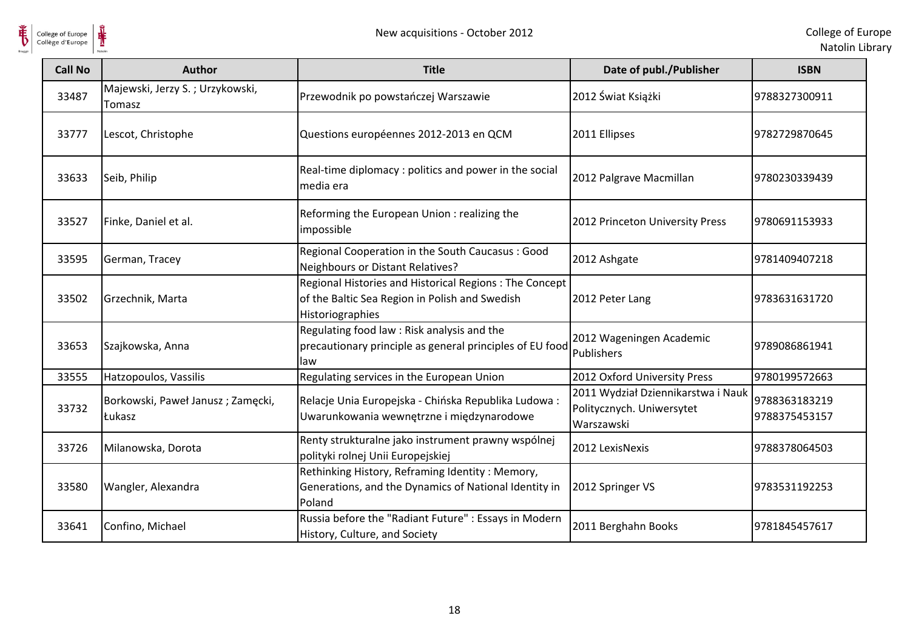

| <b>Call No</b> | Author                                      | <b>Title</b>                                                                                                                 | Date of publ./Publisher                                                       | <b>ISBN</b>                    |
|----------------|---------------------------------------------|------------------------------------------------------------------------------------------------------------------------------|-------------------------------------------------------------------------------|--------------------------------|
| 33487          | Majewski, Jerzy S.; Urzykowski,<br>Tomasz   | Przewodnik po powstańczej Warszawie                                                                                          | 2012 Świat Książki                                                            | 9788327300911                  |
| 33777          | Lescot, Christophe                          | Questions européennes 2012-2013 en QCM                                                                                       | 2011 Ellipses                                                                 | 9782729870645                  |
| 33633          | Seib, Philip                                | Real-time diplomacy: politics and power in the social<br>media era                                                           | 2012 Palgrave Macmillan                                                       | 9780230339439                  |
| 33527          | Finke, Daniel et al.                        | Reforming the European Union : realizing the<br>impossible                                                                   | 2012 Princeton University Press                                               | 9780691153933                  |
| 33595          | German, Tracey                              | Regional Cooperation in the South Caucasus: Good<br><b>Neighbours or Distant Relatives?</b>                                  | 2012 Ashgate                                                                  | 9781409407218                  |
| 33502          | Grzechnik, Marta                            | Regional Histories and Historical Regions: The Concept<br>of the Baltic Sea Region in Polish and Swedish<br>Historiographies | 2012 Peter Lang                                                               | 9783631631720                  |
| 33653          | Szajkowska, Anna                            | Regulating food law: Risk analysis and the<br>precautionary principle as general principles of EU food<br>law                | 2012 Wageningen Academic<br>Publishers                                        | 9789086861941                  |
| 33555          | Hatzopoulos, Vassilis                       | Regulating services in the European Union                                                                                    | 2012 Oxford University Press                                                  | 9780199572663                  |
| 33732          | Borkowski, Paweł Janusz; Zamęcki,<br>Łukasz | Relacje Unia Europejska - Chińska Republika Ludowa:<br>Uwarunkowania wewnętrzne i międzynarodowe                             | 2011 Wydział Dziennikarstwa i Nauk<br>Politycznych. Uniwersytet<br>Warszawski | 9788363183219<br>9788375453157 |
| 33726          | Milanowska, Dorota                          | Renty strukturalne jako instrument prawny wspólnej<br>polityki rolnej Unii Europejskiej                                      | 2012 LexisNexis                                                               | 9788378064503                  |
| 33580          | Wangler, Alexandra                          | Rethinking History, Reframing Identity: Memory,<br>Generations, and the Dynamics of National Identity in<br>Poland           | 2012 Springer VS                                                              | 9783531192253                  |
| 33641          | Confino, Michael                            | Russia before the "Radiant Future" : Essays in Modern<br>History, Culture, and Society                                       | 2011 Berghahn Books                                                           | 9781845457617                  |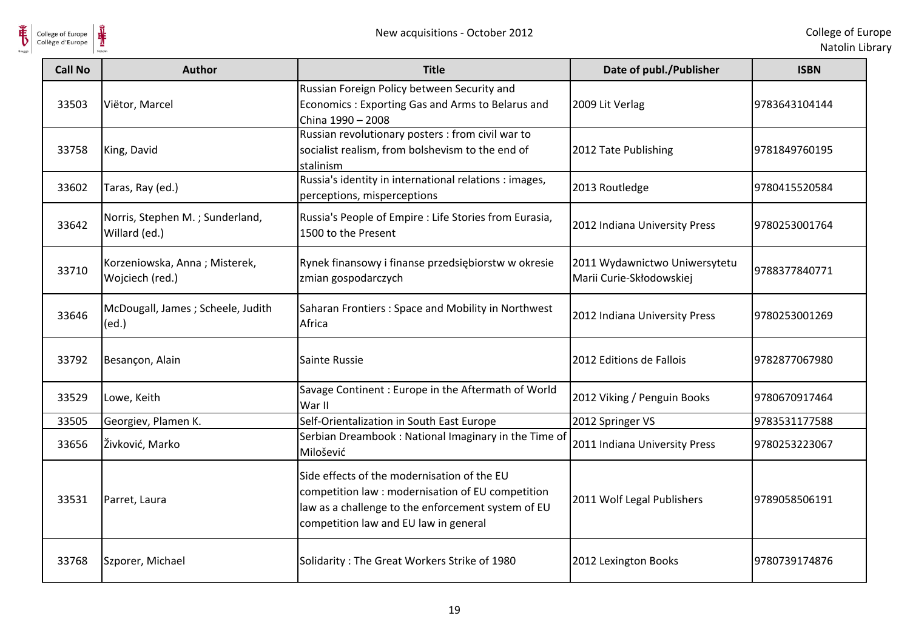

| <b>Call No</b> | <b>Author</b>                                    | <b>Title</b>                                                                                                                                                                                    | Date of publ./Publisher                                   | <b>ISBN</b>   |
|----------------|--------------------------------------------------|-------------------------------------------------------------------------------------------------------------------------------------------------------------------------------------------------|-----------------------------------------------------------|---------------|
| 33503          | Viëtor, Marcel                                   | Russian Foreign Policy between Security and<br>Economics: Exporting Gas and Arms to Belarus and<br>China 1990 - 2008                                                                            | 2009 Lit Verlag                                           | 9783643104144 |
| 33758          | King, David                                      | Russian revolutionary posters : from civil war to<br>socialist realism, from bolshevism to the end of<br>stalinism                                                                              | 2012 Tate Publishing                                      | 9781849760195 |
| 33602          | Taras, Ray (ed.)                                 | Russia's identity in international relations : images,<br>perceptions, misperceptions                                                                                                           | 2013 Routledge                                            | 9780415520584 |
| 33642          | Norris, Stephen M.; Sunderland,<br>Willard (ed.) | Russia's People of Empire : Life Stories from Eurasia,<br>1500 to the Present                                                                                                                   | 2012 Indiana University Press                             | 9780253001764 |
| 33710          | Korzeniowska, Anna; Misterek,<br>Wojciech (red.) | Rynek finansowy i finanse przedsiębiorstw w okresie<br>zmian gospodarczych                                                                                                                      | 2011 Wydawnictwo Uniwersytetu<br>Marii Curie-Skłodowskiej | 9788377840771 |
| 33646          | McDougall, James ; Scheele, Judith<br>(ed.)      | Saharan Frontiers: Space and Mobility in Northwest<br>Africa                                                                                                                                    | 2012 Indiana University Press                             | 9780253001269 |
| 33792          | Besançon, Alain                                  | Sainte Russie                                                                                                                                                                                   | 2012 Editions de Fallois                                  | 9782877067980 |
| 33529          | Lowe, Keith                                      | Savage Continent : Europe in the Aftermath of World<br>War II                                                                                                                                   | 2012 Viking / Penguin Books                               | 9780670917464 |
| 33505          | Georgiev, Plamen K.                              | Self-Orientalization in South East Europe                                                                                                                                                       | 2012 Springer VS                                          | 9783531177588 |
| 33656          | Živković, Marko                                  | Serbian Dreambook: National Imaginary in the Time of<br>Milošević                                                                                                                               | 2011 Indiana University Press                             | 9780253223067 |
| 33531          | Parret, Laura                                    | Side effects of the modernisation of the EU<br>competition law : modernisation of EU competition<br>law as a challenge to the enforcement system of EU<br>competition law and EU law in general | 2011 Wolf Legal Publishers                                | 9789058506191 |
| 33768          | Szporer, Michael                                 | Solidarity: The Great Workers Strike of 1980                                                                                                                                                    | 2012 Lexington Books                                      | 9780739174876 |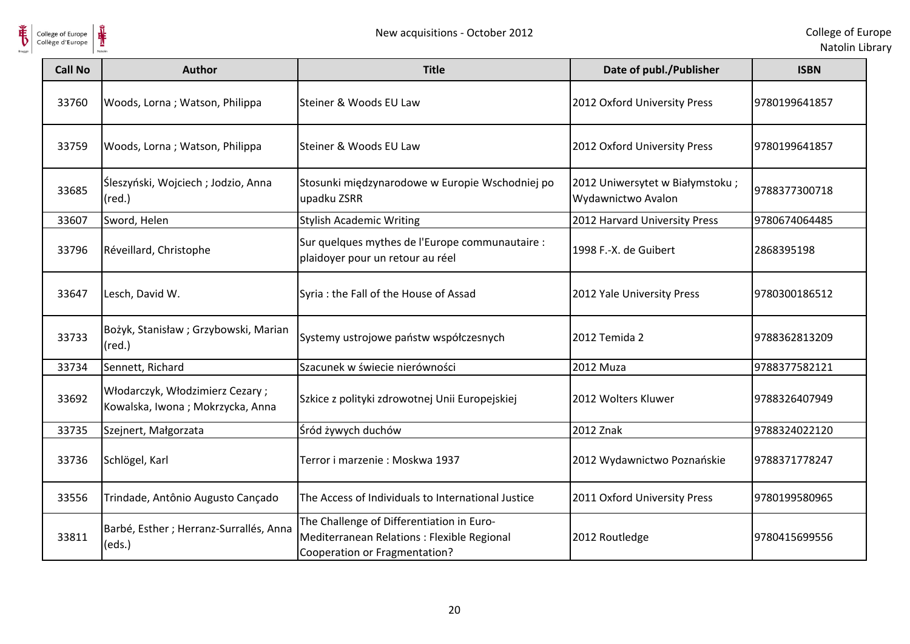

| <b>Call No</b> | <b>Author</b>                                                       | <b>Title</b>                                                                                                              | Date of publ./Publisher                               | <b>ISBN</b>   |
|----------------|---------------------------------------------------------------------|---------------------------------------------------------------------------------------------------------------------------|-------------------------------------------------------|---------------|
| 33760          | Woods, Lorna; Watson, Philippa                                      | Steiner & Woods EU Law                                                                                                    | 2012 Oxford University Press                          | 9780199641857 |
| 33759          | Woods, Lorna; Watson, Philippa                                      | Steiner & Woods EU Law                                                                                                    | 2012 Oxford University Press                          | 9780199641857 |
| 33685          | Śleszyński, Wojciech; Jodzio, Anna<br>$(\text{red.})$               | Stosunki międzynarodowe w Europie Wschodniej po<br>upadku ZSRR                                                            | 2012 Uniwersytet w Białymstoku;<br>Wydawnictwo Avalon | 9788377300718 |
| 33607          | Sword, Helen                                                        | <b>Stylish Academic Writing</b>                                                                                           | 2012 Harvard University Press                         | 9780674064485 |
| 33796          | Réveillard, Christophe                                              | Sur quelques mythes de l'Europe communautaire :<br>plaidoyer pour un retour au réel                                       | 1998 F.-X. de Guibert                                 | 2868395198    |
| 33647          | Lesch, David W.                                                     | Syria : the Fall of the House of Assad                                                                                    | 2012 Yale University Press                            | 9780300186512 |
| 33733          | Bożyk, Stanisław; Grzybowski, Marian<br>$(\text{red.})$             | Systemy ustrojowe państw współczesnych                                                                                    | 2012 Temida 2                                         | 9788362813209 |
| 33734          | Sennett, Richard                                                    | Szacunek w świecie nierówności                                                                                            | 2012 Muza                                             | 9788377582121 |
| 33692          | Włodarczyk, Włodzimierz Cezary;<br>Kowalska, Iwona; Mokrzycka, Anna | Szkice z polityki zdrowotnej Unii Europejskiej                                                                            | 2012 Wolters Kluwer                                   | 9788326407949 |
| 33735          | Szejnert, Małgorzata                                                | Śród żywych duchów                                                                                                        | 2012 Znak                                             | 9788324022120 |
| 33736          | Schlögel, Karl                                                      | Terror i marzenie: Moskwa 1937                                                                                            | 2012 Wydawnictwo Poznańskie                           | 9788371778247 |
| 33556          | Trindade, Antônio Augusto Cançado                                   | The Access of Individuals to International Justice                                                                        | 2011 Oxford University Press                          | 9780199580965 |
| 33811          | Barbé, Esther ; Herranz-Surrallés, Anna<br>(eds.)                   | The Challenge of Differentiation in Euro-<br>Mediterranean Relations : Flexible Regional<br>Cooperation or Fragmentation? | 2012 Routledge                                        | 9780415699556 |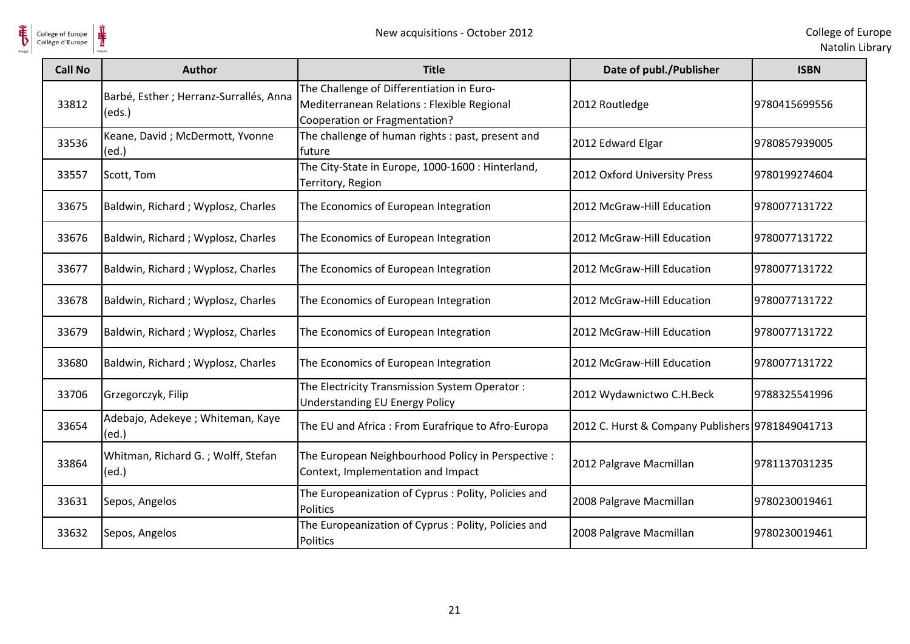

 $\frac{1}{\frac{1}{\sqrt{2}}}}$ 

| <b>Call No</b> | <b>Author</b>                                     | <b>Title</b>                                                                                                                     | Date of publ./Publisher                          | <b>ISBN</b>   |
|----------------|---------------------------------------------------|----------------------------------------------------------------------------------------------------------------------------------|--------------------------------------------------|---------------|
| 33812          | Barbé, Esther ; Herranz-Surrallés, Anna<br>(eds.) | The Challenge of Differentiation in Euro-<br>Mediterranean Relations : Flexible Regional<br><b>Cooperation or Fragmentation?</b> | 2012 Routledge                                   | 9780415699556 |
| 33536          | Keane, David; McDermott, Yvonne<br>(ed.)          | The challenge of human rights : past, present and<br>future                                                                      | 2012 Edward Elgar                                | 9780857939005 |
| 33557          | Scott, Tom                                        | The City-State in Europe, 1000-1600 : Hinterland,<br>Territory, Region                                                           | 2012 Oxford University Press                     | 9780199274604 |
| 33675          | Baldwin, Richard; Wyplosz, Charles                | The Economics of European Integration                                                                                            | 2012 McGraw-Hill Education                       | 9780077131722 |
| 33676          | Baldwin, Richard; Wyplosz, Charles                | The Economics of European Integration                                                                                            | 2012 McGraw-Hill Education                       | 9780077131722 |
| 33677          | Baldwin, Richard; Wyplosz, Charles                | The Economics of European Integration                                                                                            | 2012 McGraw-Hill Education                       | 9780077131722 |
| 33678          | Baldwin, Richard; Wyplosz, Charles                | The Economics of European Integration                                                                                            | 2012 McGraw-Hill Education                       | 9780077131722 |
| 33679          | Baldwin, Richard; Wyplosz, Charles                | The Economics of European Integration                                                                                            | 2012 McGraw-Hill Education                       | 9780077131722 |
| 33680          | Baldwin, Richard; Wyplosz, Charles                | The Economics of European Integration                                                                                            | 2012 McGraw-Hill Education                       | 9780077131722 |
| 33706          | Grzegorczyk, Filip                                | The Electricity Transmission System Operator:<br><b>Understanding EU Energy Policy</b>                                           | 2012 Wydawnictwo C.H.Beck                        | 9788325541996 |
| 33654          | Adebajo, Adekeye ; Whiteman, Kaye<br>(ed.)        | The EU and Africa: From Eurafrique to Afro-Europa                                                                                | 2012 C. Hurst & Company Publishers 9781849041713 |               |
| 33864          | Whitman, Richard G.; Wolff, Stefan<br>(ed.)       | The European Neighbourhood Policy in Perspective :<br>Context, Implementation and Impact                                         | 2012 Palgrave Macmillan                          | 9781137031235 |
| 33631          | Sepos, Angelos                                    | The Europeanization of Cyprus: Polity, Policies and<br>Politics                                                                  | 2008 Palgrave Macmillan                          | 9780230019461 |
| 33632          | Sepos, Angelos                                    | The Europeanization of Cyprus: Polity, Policies and<br>Politics                                                                  | 2008 Palgrave Macmillan                          | 9780230019461 |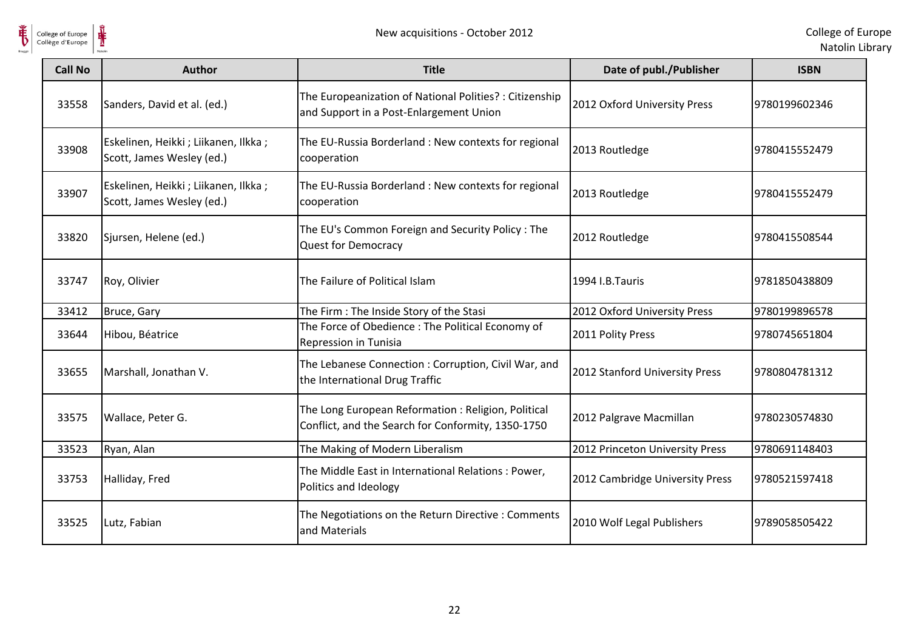



| <b>Call No</b> | <b>Author</b>                                                      | <b>Title</b>                                                                                             | Date of publ./Publisher         | <b>ISBN</b>   |
|----------------|--------------------------------------------------------------------|----------------------------------------------------------------------------------------------------------|---------------------------------|---------------|
| 33558          | Sanders, David et al. (ed.)                                        | The Europeanization of National Polities? : Citizenship<br>and Support in a Post-Enlargement Union       | 2012 Oxford University Press    | 9780199602346 |
| 33908          | Eskelinen, Heikki ; Liikanen, Ilkka ;<br>Scott, James Wesley (ed.) | The EU-Russia Borderland: New contexts for regional<br>cooperation                                       | 2013 Routledge                  | 9780415552479 |
| 33907          | Eskelinen, Heikki ; Liikanen, Ilkka ;<br>Scott, James Wesley (ed.) | The EU-Russia Borderland : New contexts for regional<br>cooperation                                      | 2013 Routledge                  | 9780415552479 |
| 33820          | Sjursen, Helene (ed.)                                              | The EU's Common Foreign and Security Policy: The<br><b>Quest for Democracy</b>                           | 2012 Routledge                  | 9780415508544 |
| 33747          | Roy, Olivier                                                       | The Failure of Political Islam                                                                           | 1994 I.B.Tauris                 | 9781850438809 |
| 33412          | Bruce, Gary                                                        | The Firm : The Inside Story of the Stasi                                                                 | 2012 Oxford University Press    | 9780199896578 |
| 33644          | Hibou, Béatrice                                                    | The Force of Obedience: The Political Economy of<br>Repression in Tunisia                                | 2011 Polity Press               | 9780745651804 |
| 33655          | Marshall, Jonathan V.                                              | The Lebanese Connection: Corruption, Civil War, and<br>the International Drug Traffic                    | 2012 Stanford University Press  | 9780804781312 |
| 33575          | Wallace, Peter G.                                                  | The Long European Reformation: Religion, Political<br>Conflict, and the Search for Conformity, 1350-1750 | 2012 Palgrave Macmillan         | 9780230574830 |
| 33523          | Ryan, Alan                                                         | The Making of Modern Liberalism                                                                          | 2012 Princeton University Press | 9780691148403 |
| 33753          | Halliday, Fred                                                     | The Middle East in International Relations : Power,<br>Politics and Ideology                             | 2012 Cambridge University Press | 9780521597418 |
| 33525          | Lutz, Fabian                                                       | The Negotiations on the Return Directive : Comments<br>and Materials                                     | 2010 Wolf Legal Publishers      | 9789058505422 |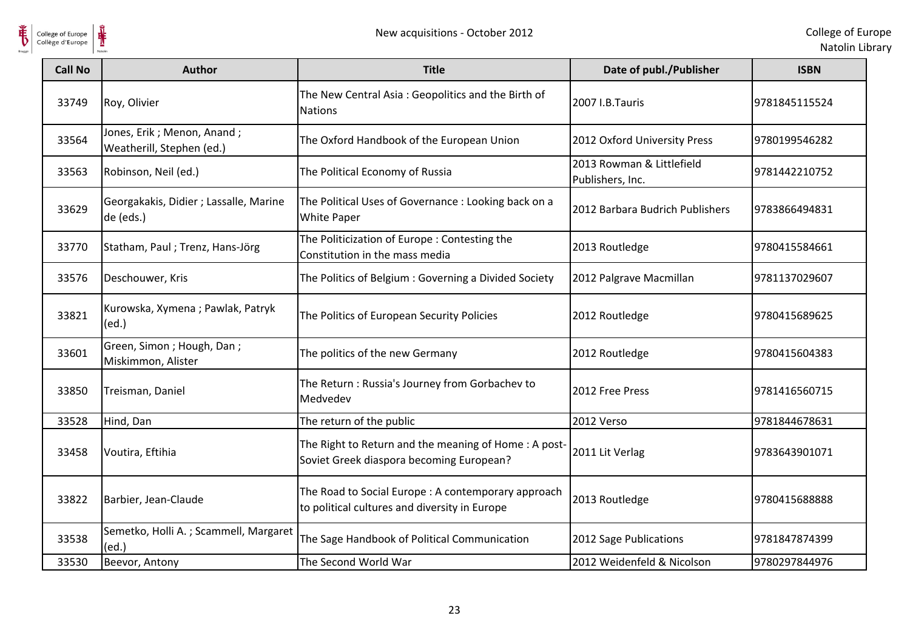

| <b>Call No</b> | <b>Author</b>                                           | <b>Title</b>                                                                                         | Date of publ./Publisher                       | <b>ISBN</b>   |
|----------------|---------------------------------------------------------|------------------------------------------------------------------------------------------------------|-----------------------------------------------|---------------|
| 33749          | Roy, Olivier                                            | The New Central Asia: Geopolitics and the Birth of<br><b>Nations</b>                                 | 2007 I.B.Tauris                               | 9781845115524 |
| 33564          | Jones, Erik; Menon, Anand;<br>Weatherill, Stephen (ed.) | The Oxford Handbook of the European Union                                                            | 2012 Oxford University Press                  | 9780199546282 |
| 33563          | Robinson, Neil (ed.)                                    | The Political Economy of Russia                                                                      | 2013 Rowman & Littlefield<br>Publishers, Inc. | 9781442210752 |
| 33629          | Georgakakis, Didier ; Lassalle, Marine<br>de (eds.)     | The Political Uses of Governance : Looking back on a<br><b>White Paper</b>                           | 2012 Barbara Budrich Publishers               | 9783866494831 |
| 33770          | Statham, Paul; Trenz, Hans-Jörg                         | The Politicization of Europe: Contesting the<br>Constitution in the mass media                       | 2013 Routledge                                | 9780415584661 |
| 33576          | Deschouwer, Kris                                        | The Politics of Belgium: Governing a Divided Society                                                 | 2012 Palgrave Macmillan                       | 9781137029607 |
| 33821          | Kurowska, Xymena; Pawlak, Patryk<br>(ed.)               | The Politics of European Security Policies                                                           | 2012 Routledge                                | 9780415689625 |
| 33601          | Green, Simon; Hough, Dan;<br>Miskimmon, Alister         | The politics of the new Germany                                                                      | 2012 Routledge                                | 9780415604383 |
| 33850          | Treisman, Daniel                                        | The Return : Russia's Journey from Gorbachev to<br>Medvedev                                          | 2012 Free Press                               | 9781416560715 |
| 33528          | Hind, Dan                                               | The return of the public                                                                             | 2012 Verso                                    | 9781844678631 |
| 33458          | Voutira, Eftihia                                        | The Right to Return and the meaning of Home: A post-<br>Soviet Greek diaspora becoming European?     | 2011 Lit Verlag                               | 9783643901071 |
| 33822          | Barbier, Jean-Claude                                    | The Road to Social Europe : A contemporary approach<br>to political cultures and diversity in Europe | 2013 Routledge                                | 9780415688888 |
| 33538          | Semetko, Holli A.; Scammell, Margaret<br>(ed.)          | The Sage Handbook of Political Communication                                                         | 2012 Sage Publications                        | 9781847874399 |
| 33530          | Beevor, Antony                                          | The Second World War                                                                                 | 2012 Weidenfeld & Nicolson                    | 9780297844976 |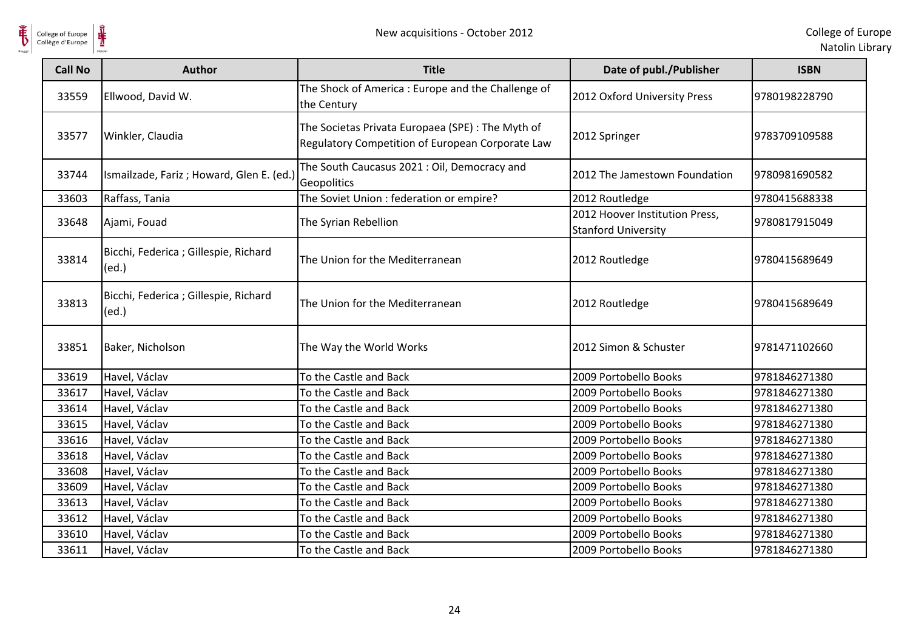

| <b>Call No</b> | <b>Author</b>                                  | <b>Title</b>                                                                                          | Date of publ./Publisher                                      | <b>ISBN</b>   |
|----------------|------------------------------------------------|-------------------------------------------------------------------------------------------------------|--------------------------------------------------------------|---------------|
| 33559          | Ellwood, David W.                              | The Shock of America : Europe and the Challenge of<br>the Century                                     | 2012 Oxford University Press                                 | 9780198228790 |
| 33577          | Winkler, Claudia                               | The Societas Privata Europaea (SPE) : The Myth of<br>Regulatory Competition of European Corporate Law | 2012 Springer                                                | 9783709109588 |
| 33744          | Ismailzade, Fariz; Howard, Glen E. (ed.)       | The South Caucasus 2021 : Oil, Democracy and<br>Geopolitics                                           | 2012 The Jamestown Foundation                                | 9780981690582 |
| 33603          | Raffass, Tania                                 | The Soviet Union : federation or empire?                                                              | 2012 Routledge                                               | 9780415688338 |
| 33648          | Ajami, Fouad                                   | The Syrian Rebellion                                                                                  | 2012 Hoover Institution Press,<br><b>Stanford University</b> | 9780817915049 |
| 33814          | Bicchi, Federica ; Gillespie, Richard<br>(ed.) | The Union for the Mediterranean                                                                       | 2012 Routledge                                               | 9780415689649 |
| 33813          | Bicchi, Federica ; Gillespie, Richard<br>(ed.) | The Union for the Mediterranean                                                                       | 2012 Routledge                                               | 9780415689649 |
| 33851          | Baker, Nicholson                               | The Way the World Works                                                                               | 2012 Simon & Schuster                                        | 9781471102660 |
| 33619          | Havel, Václav                                  | To the Castle and Back                                                                                | 2009 Portobello Books                                        | 9781846271380 |
| 33617          | Havel, Václav                                  | To the Castle and Back                                                                                | 2009 Portobello Books                                        | 9781846271380 |
| 33614          | Havel, Václav                                  | To the Castle and Back                                                                                | 2009 Portobello Books                                        | 9781846271380 |
| 33615          | Havel, Václav                                  | To the Castle and Back                                                                                | 2009 Portobello Books                                        | 9781846271380 |
| 33616          | Havel, Václav                                  | To the Castle and Back                                                                                | 2009 Portobello Books                                        | 9781846271380 |
| 33618          | Havel, Václav                                  | To the Castle and Back                                                                                | 2009 Portobello Books                                        | 9781846271380 |
| 33608          | Havel, Václav                                  | To the Castle and Back                                                                                | 2009 Portobello Books                                        | 9781846271380 |
| 33609          | Havel, Václav                                  | To the Castle and Back                                                                                | 2009 Portobello Books                                        | 9781846271380 |
| 33613          | Havel, Václav                                  | To the Castle and Back                                                                                | 2009 Portobello Books                                        | 9781846271380 |
| 33612          | Havel, Václav                                  | To the Castle and Back                                                                                | 2009 Portobello Books                                        | 9781846271380 |
| 33610          | Havel, Václav                                  | To the Castle and Back                                                                                | 2009 Portobello Books                                        | 9781846271380 |
| 33611          | Havel, Václav                                  | To the Castle and Back                                                                                | 2009 Portobello Books                                        | 9781846271380 |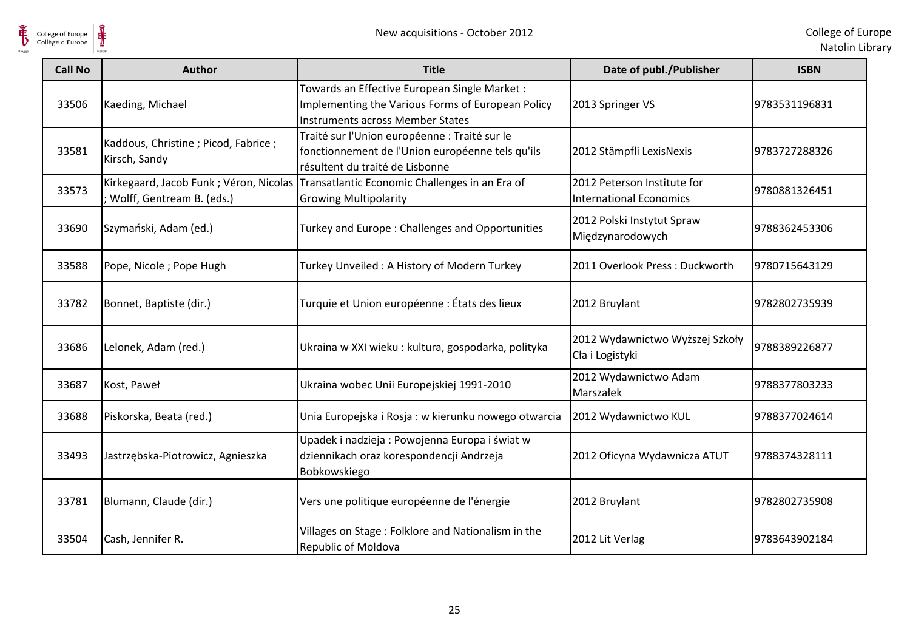

| <b>Call No</b> | <b>Author</b>                                                       | <b>Title</b>                                                                                                                                 | Date of publ./Publisher                                       | <b>ISBN</b>   |
|----------------|---------------------------------------------------------------------|----------------------------------------------------------------------------------------------------------------------------------------------|---------------------------------------------------------------|---------------|
| 33506          | Kaeding, Michael                                                    | Towards an Effective European Single Market:<br>Implementing the Various Forms of European Policy<br><b>Instruments across Member States</b> | 2013 Springer VS                                              | 9783531196831 |
| 33581          | Kaddous, Christine; Picod, Fabrice;<br>Kirsch, Sandy                | Traité sur l'Union européenne : Traité sur le<br>fonctionnement de l'Union européenne tels qu'ils<br>résultent du traité de Lisbonne         | 2012 Stämpfli LexisNexis                                      | 9783727288326 |
| 33573          | Kirkegaard, Jacob Funk; Véron, Nicolas<br>Wolff, Gentream B. (eds.) | Transatlantic Economic Challenges in an Era of<br><b>Growing Multipolarity</b>                                                               | 2012 Peterson Institute for<br><b>International Economics</b> | 9780881326451 |
| 33690          | Szymański, Adam (ed.)                                               | Turkey and Europe: Challenges and Opportunities                                                                                              | 2012 Polski Instytut Spraw<br>Międzynarodowych                | 9788362453306 |
| 33588          | Pope, Nicole; Pope Hugh                                             | Turkey Unveiled: A History of Modern Turkey                                                                                                  | 2011 Overlook Press: Duckworth                                | 9780715643129 |
| 33782          | Bonnet, Baptiste (dir.)                                             | Turquie et Union européenne : États des lieux                                                                                                | 2012 Bruylant                                                 | 9782802735939 |
| 33686          | Lelonek, Adam (red.)                                                | Ukraina w XXI wieku: kultura, gospodarka, polityka                                                                                           | 2012 Wydawnictwo Wyższej Szkoły<br>Cła i Logistyki            | 9788389226877 |
| 33687          | Kost, Paweł                                                         | Ukraina wobec Unii Europejskiej 1991-2010                                                                                                    | 2012 Wydawnictwo Adam<br>Marszałek                            | 9788377803233 |
| 33688          | Piskorska, Beata (red.)                                             | Unia Europejska i Rosja: w kierunku nowego otwarcia                                                                                          | 2012 Wydawnictwo KUL                                          | 9788377024614 |
| 33493          | Jastrzębska-Piotrowicz, Agnieszka                                   | Upadek i nadzieja: Powojenna Europa i świat w<br>dziennikach oraz korespondencji Andrzeja<br>Bobkowskiego                                    | 2012 Oficyna Wydawnicza ATUT                                  | 9788374328111 |
| 33781          | Blumann, Claude (dir.)                                              | Vers une politique européenne de l'énergie                                                                                                   | 2012 Bruylant                                                 | 9782802735908 |
| 33504          | Cash, Jennifer R.                                                   | Villages on Stage: Folklore and Nationalism in the<br>Republic of Moldova                                                                    | 2012 Lit Verlag                                               | 9783643902184 |